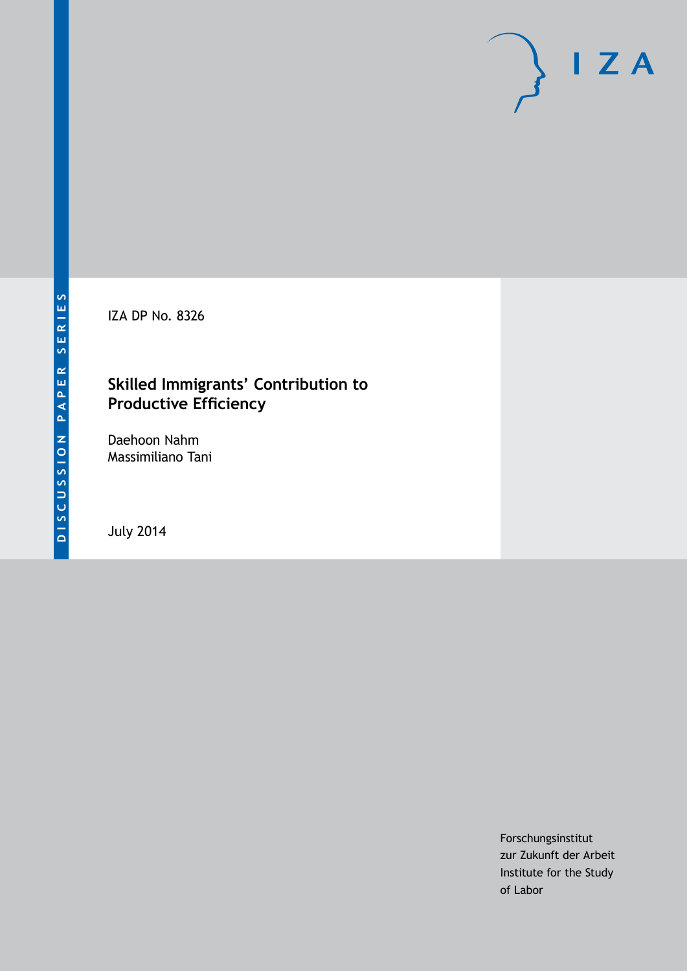IZA DP No. 8326

## **Skilled Immigrants' Contribution to Productive Efficiency**

Daehoon Nahm Massimiliano Tani

July 2014

Forschungsinstitut zur Zukunft der Arbeit Institute for the Study of Labor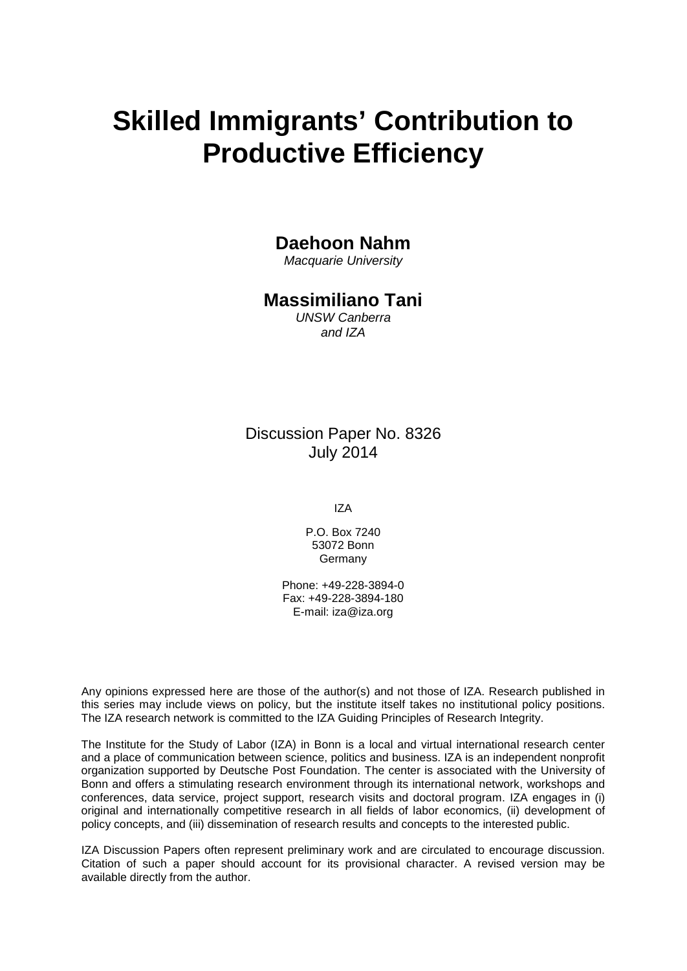# **Skilled Immigrants' Contribution to Productive Efficiency**

### **Daehoon Nahm**

*Macquarie University*

### **Massimiliano Tani**

*UNSW Canberra and IZA*

Discussion Paper No. 8326 July 2014

IZA

P.O. Box 7240 53072 Bonn Germany

Phone: +49-228-3894-0 Fax: +49-228-3894-180 E-mail: [iza@iza.org](mailto:iza@iza.org)

Any opinions expressed here are those of the author(s) and not those of IZA. Research published in this series may include views on policy, but the institute itself takes no institutional policy positions. The IZA research network is committed to the IZA Guiding Principles of Research Integrity.

The Institute for the Study of Labor (IZA) in Bonn is a local and virtual international research center and a place of communication between science, politics and business. IZA is an independent nonprofit organization supported by Deutsche Post Foundation. The center is associated with the University of Bonn and offers a stimulating research environment through its international network, workshops and conferences, data service, project support, research visits and doctoral program. IZA engages in (i) original and internationally competitive research in all fields of labor economics, (ii) development of policy concepts, and (iii) dissemination of research results and concepts to the interested public.

<span id="page-1-0"></span>IZA Discussion Papers often represent preliminary work and are circulated to encourage discussion. Citation of such a paper should account for its provisional character. A revised version may be available directly from the author.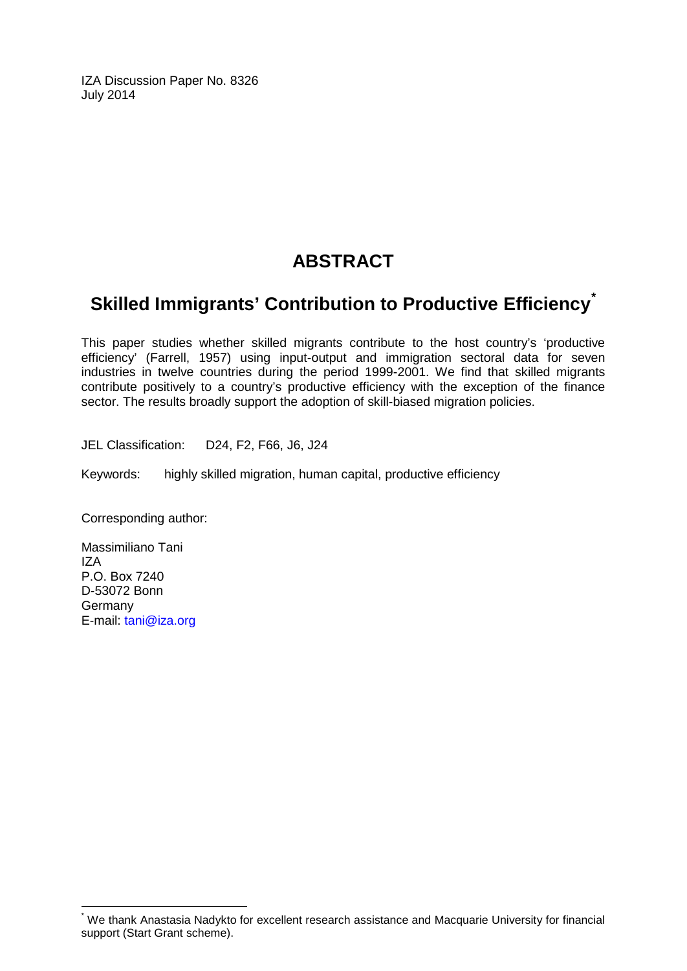IZA Discussion Paper No. 8326 July 2014

# **ABSTRACT**

# **Skilled Immigrants' Contribution to Productive Efficiency[\\*](#page-1-0)**

This paper studies whether skilled migrants contribute to the host country's 'productive efficiency' (Farrell, 1957) using input-output and immigration sectoral data for seven industries in twelve countries during the period 1999-2001. We find that skilled migrants contribute positively to a country's productive efficiency with the exception of the finance sector. The results broadly support the adoption of skill-biased migration policies.

JEL Classification: D24, F2, F66, J6, J24

Keywords: highly skilled migration, human capital, productive efficiency

Corresponding author:

Massimiliano Tani IZA P.O. Box 7240 D-53072 Bonn **Germany** E-mail: [tani@iza.org](mailto:tani@iza.org)

We thank Anastasia Nadykto for excellent research assistance and Macquarie University for financial support (Start Grant scheme).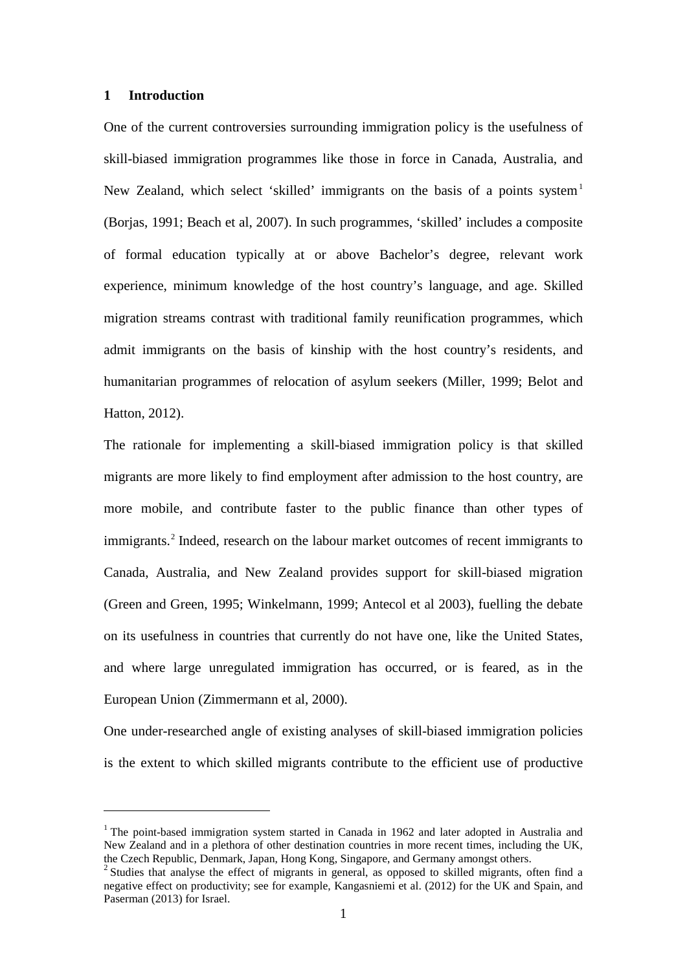#### **1 Introduction**

<u>.</u>

One of the current controversies surrounding immigration policy is the usefulness of skill-biased immigration programmes like those in force in Canada, Australia, and New Zealand, which select 'skilled' immigrants on the basis of a points system<sup>[1](#page-11-0)</sup> (Borjas, 1991; Beach et al, 2007). In such programmes, 'skilled' includes a composite of formal education typically at or above Bachelor's degree, relevant work experience, minimum knowledge of the host country's language, and age. Skilled migration streams contrast with traditional family reunification programmes, which admit immigrants on the basis of kinship with the host country's residents, and humanitarian programmes of relocation of asylum seekers (Miller, 1999; Belot and Hatton, 2012).

The rationale for implementing a skill-biased immigration policy is that skilled migrants are more likely to find employment after admission to the host country, are more mobile, and contribute faster to the public finance than other types of immigrants.[2](#page-3-0) Indeed, research on the labour market outcomes of recent immigrants to Canada, Australia, and New Zealand provides support for skill-biased migration (Green and Green, 1995; Winkelmann, 1999; Antecol et al 2003), fuelling the debate on its usefulness in countries that currently do not have one, like the United States, and where large unregulated immigration has occurred, or is feared, as in the European Union (Zimmermann et al, 2000).

One under-researched angle of existing analyses of skill-biased immigration policies is the extent to which skilled migrants contribute to the efficient use of productive

<sup>&</sup>lt;sup>1</sup> The point-based immigration system started in Canada in 1962 and later adopted in Australia and New Zealand and in a plethora of other destination countries in more recent times, including the UK, the Czech Republic, Denmark, Japan, Hong Kong, Singapore, and Germany amongst others.

<span id="page-3-1"></span><span id="page-3-0"></span><sup>&</sup>lt;sup>2</sup> Studies that analyse the effect of migrants in general, as opposed to skilled migrants, often find a negative effect on productivity; see for example, Kangasniemi et al. (2012) for the UK and Spain, and Paserman (2013) for Israel.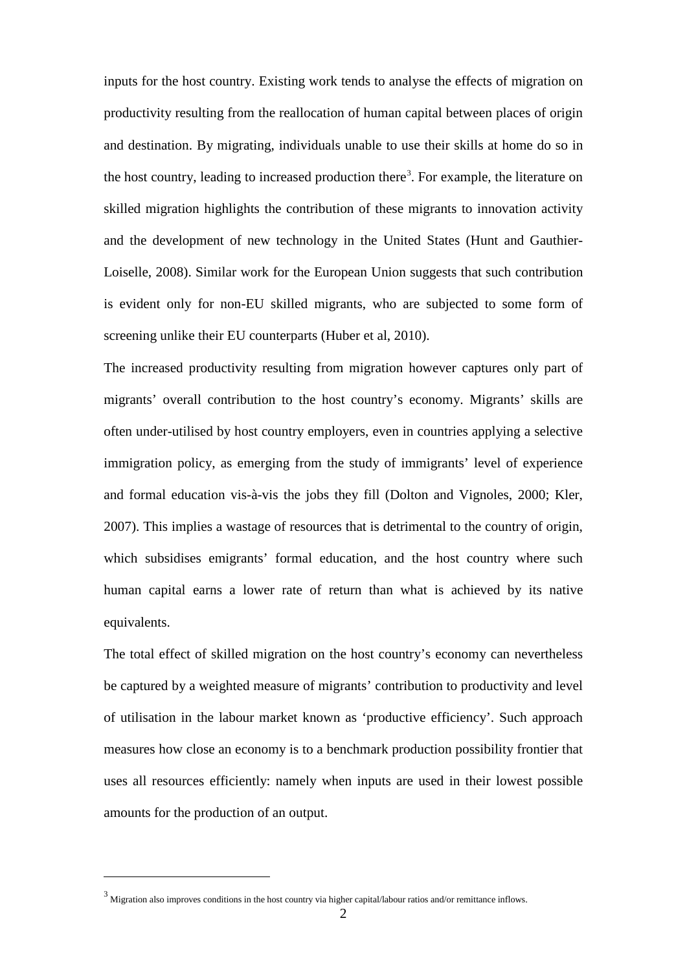inputs for the host country. Existing work tends to analyse the effects of migration on productivity resulting from the reallocation of human capital between places of origin and destination. By migrating, individuals unable to use their skills at home do so in the host country, leading to increased production there<sup>[3](#page-3-1)</sup>. For example, the literature on skilled migration highlights the contribution of these migrants to innovation activity and the development of new technology in the United States (Hunt and Gauthier-Loiselle, 2008). Similar work for the European Union suggests that such contribution is evident only for non-EU skilled migrants, who are subjected to some form of screening unlike their EU counterparts (Huber et al, 2010).

The increased productivity resulting from migration however captures only part of migrants' overall contribution to the host country's economy. Migrants' skills are often under-utilised by host country employers, even in countries applying a selective immigration policy, as emerging from the study of immigrants' level of experience and formal education vis-à-vis the jobs they fill (Dolton and Vignoles, 2000; Kler, 2007). This implies a wastage of resources that is detrimental to the country of origin, which subsidises emigrants' formal education, and the host country where such human capital earns a lower rate of return than what is achieved by its native equivalents.

The total effect of skilled migration on the host country's economy can nevertheless be captured by a weighted measure of migrants' contribution to productivity and level of utilisation in the labour market known as 'productive efficiency'. Such approach measures how close an economy is to a benchmark production possibility frontier that uses all resources efficiently: namely when inputs are used in their lowest possible amounts for the production of an output.

<span id="page-4-0"></span><u>.</u>

 $3$  Migration also improves conditions in the host country via higher capital/labour ratios and/or remittance inflows.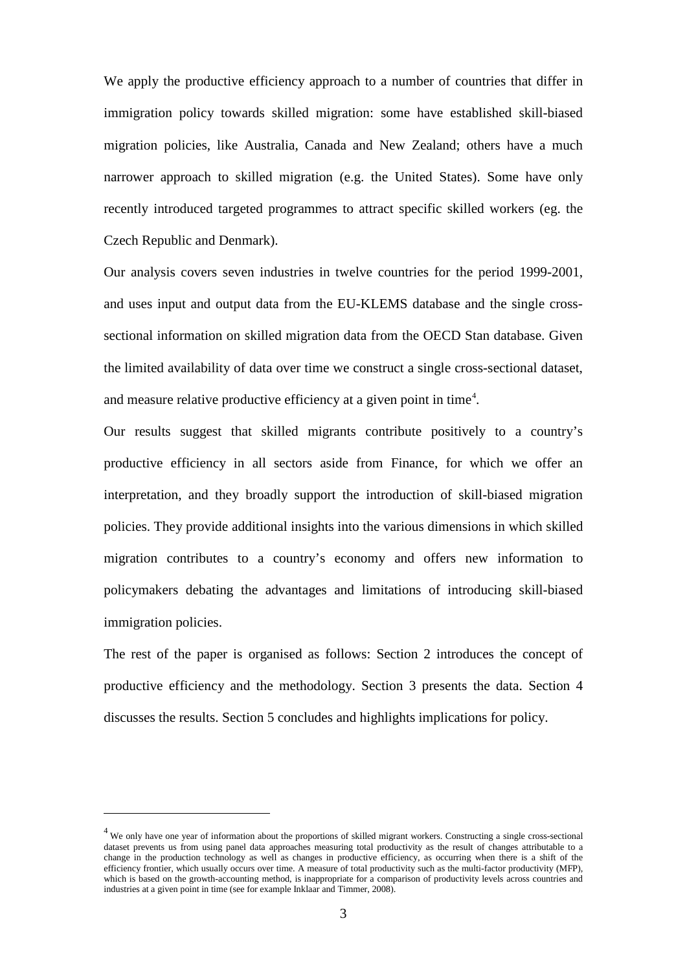We apply the productive efficiency approach to a number of countries that differ in immigration policy towards skilled migration: some have established skill-biased migration policies, like Australia, Canada and New Zealand; others have a much narrower approach to skilled migration (e.g. the United States). Some have only recently introduced targeted programmes to attract specific skilled workers (eg. the Czech Republic and Denmark).

Our analysis covers seven industries in twelve countries for the period 1999-2001, and uses input and output data from the EU-KLEMS database and the single crosssectional information on skilled migration data from the OECD Stan database. Given the limited availability of data over time we construct a single cross-sectional dataset, and measure relative productive efficiency at a given point in time<sup>[4](#page-4-0)</sup>.

Our results suggest that skilled migrants contribute positively to a country's productive efficiency in all sectors aside from Finance, for which we offer an interpretation, and they broadly support the introduction of skill-biased migration policies. They provide additional insights into the various dimensions in which skilled migration contributes to a country's economy and offers new information to policymakers debating the advantages and limitations of introducing skill-biased immigration policies.

The rest of the paper is organised as follows: Section 2 introduces the concept of productive efficiency and the methodology. Section 3 presents the data. Section 4 discusses the results. Section 5 concludes and highlights implications for policy.

<u>.</u>

<span id="page-5-0"></span> $4$  We only have one year of information about the proportions of skilled migrant workers. Constructing a single cross-sectional dataset prevents us from using panel data approaches measuring total productivity as the result of changes attributable to a change in the production technology as well as changes in productive efficiency, as occurring when there is a shift of the efficiency frontier, which usually occurs over time. A measure of total productivity such as the multi-factor productivity (MFP), which is based on the growth-accounting method, is inappropriate for a comparison of productivity levels across countries and industries at a given point in time (see for example Inklaar and Timmer, 2008).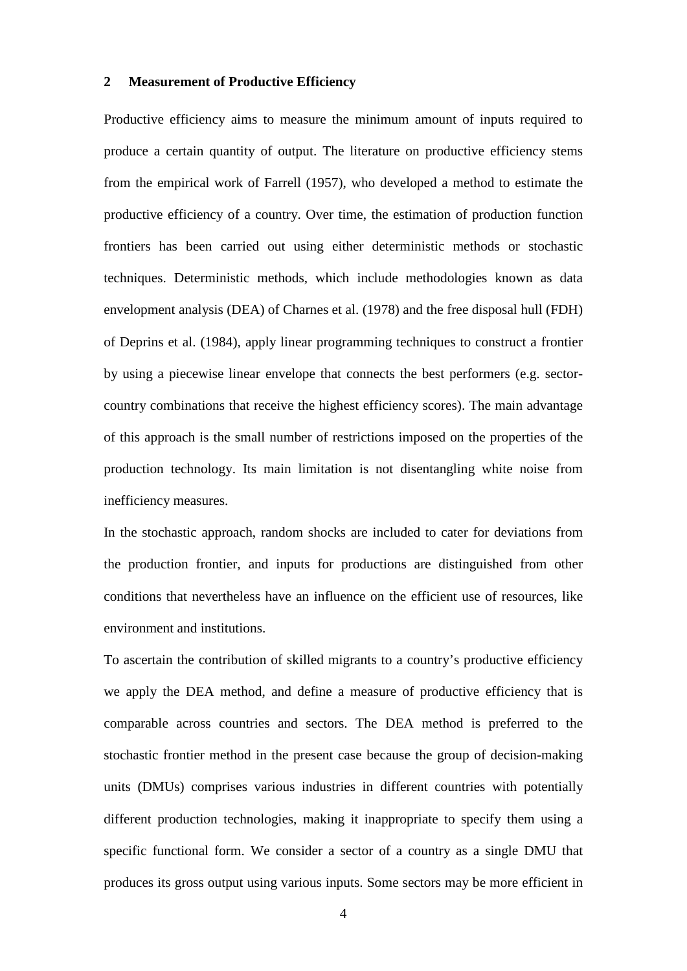#### **2 Measurement of Productive Efficiency**

Productive efficiency aims to measure the minimum amount of inputs required to produce a certain quantity of output. The literature on productive efficiency stems from the empirical work of Farrell (1957), who developed a method to estimate the productive efficiency of a country. Over time, the estimation of production function frontiers has been carried out using either deterministic methods or stochastic techniques. Deterministic methods, which include methodologies known as data envelopment analysis (DEA) of Charnes et al. (1978) and the free disposal hull (FDH) of Deprins et al. (1984), apply linear programming techniques to construct a frontier by using a piecewise linear envelope that connects the best performers (e.g. sectorcountry combinations that receive the highest efficiency scores). The main advantage of this approach is the small number of restrictions imposed on the properties of the production technology. Its main limitation is not disentangling white noise from inefficiency measures.

In the stochastic approach, random shocks are included to cater for deviations from the production frontier, and inputs for productions are distinguished from other conditions that nevertheless have an influence on the efficient use of resources, like environment and institutions.

To ascertain the contribution of skilled migrants to a country's productive efficiency we apply the DEA method, and define a measure of productive efficiency that is comparable across countries and sectors. The DEA method is preferred to the stochastic frontier method in the present case because the group of decision-making units (DMUs) comprises various industries in different countries with potentially different production technologies, making it inappropriate to specify them using a specific functional form. We consider a sector of a country as a single DMU that produces its gross output using various inputs. Some sectors may be more efficient in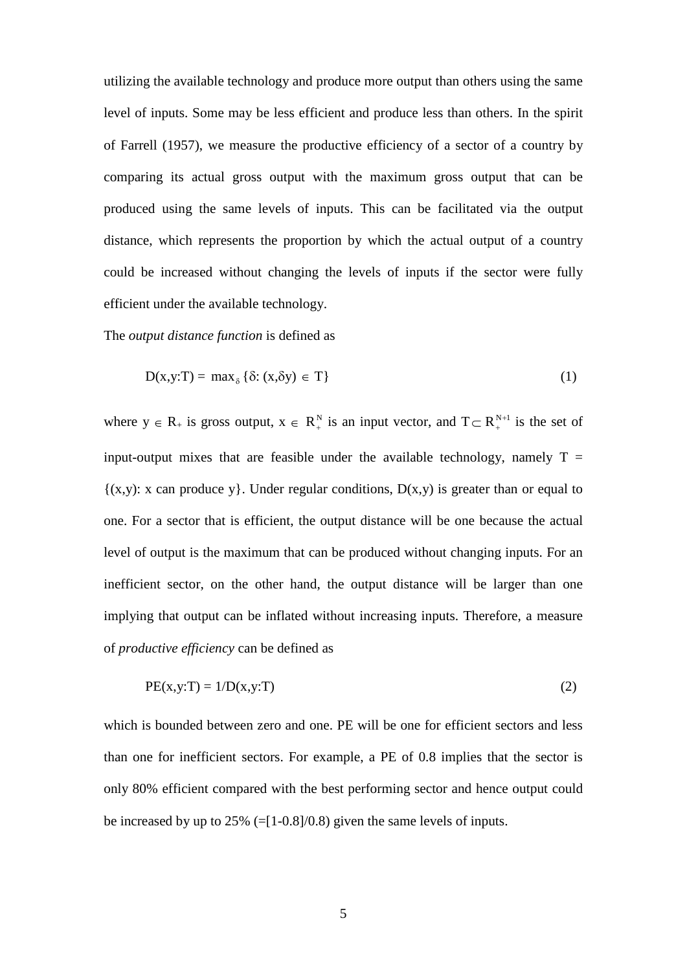utilizing the available technology and produce more output than others using the same level of inputs. Some may be less efficient and produce less than others. In the spirit of Farrell (1957), we measure the productive efficiency of a sector of a country by comparing its actual gross output with the maximum gross output that can be produced using the same levels of inputs. This can be facilitated via the output distance, which represents the proportion by which the actual output of a country could be increased without changing the levels of inputs if the sector were fully efficient under the available technology.

The *output distance function* is defined as

$$
D(x,y:T) = \max_{\delta} \{ \delta: (x,\delta y) \in T \}
$$
 (1)

where  $y \in R_+$  is gross output,  $x \in R_+^N$  is an input vector, and  $T \subset R_+^{N+1}$  is the set of input-output mixes that are feasible under the available technology, namely  $T =$  ${(x,y): x can produce y}. Under regular conditions,  $D(x,y)$  is greater than or equal to$ one. For a sector that is efficient, the output distance will be one because the actual level of output is the maximum that can be produced without changing inputs. For an inefficient sector, on the other hand, the output distance will be larger than one implying that output can be inflated without increasing inputs. Therefore, a measure of *productive efficiency* can be defined as

$$
PE(x, y:T) = 1/D(x, y:T)
$$
\n(2)

which is bounded between zero and one. PE will be one for efficient sectors and less than one for inefficient sectors. For example, a PE of 0.8 implies that the sector is only 80% efficient compared with the best performing sector and hence output could be increased by up to  $25\%$  (=[1-0.8]/0.8) given the same levels of inputs.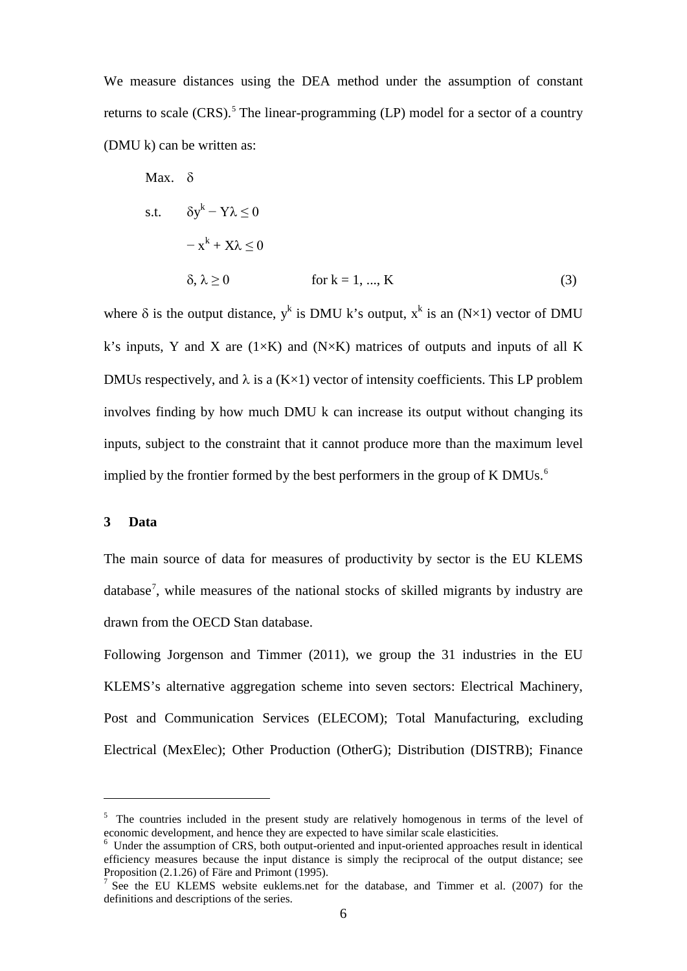We measure distances using the DEA method under the assumption of constant returns to scale  $(CRS)$ .<sup>[5](#page-5-0)</sup> The linear-programming  $(LP)$  model for a sector of a country (DMU k) can be written as:

Max. δ  
s.t. 
$$
\delta y^k - Y\lambda \le 0
$$
  
 $-x^k + X\lambda \le 0$   
δ, λ ≥ 0 for k = 1, ..., K (3)

where  $\delta$  is the output distance, y<sup>k</sup> is DMU k's output, x<sup>k</sup> is an (N×1) vector of DMU k's inputs, Y and X are  $(1\times K)$  and  $(N\times K)$  matrices of outputs and inputs of all K DMUs respectively, and  $\lambda$  is a (K $\times$ 1) vector of intensity coefficients. This LP problem involves finding by how much DMU k can increase its output without changing its inputs, subject to the constraint that it cannot produce more than the maximum level implied by the frontier formed by the best performers in the group of K DMUs. $<sup>6</sup>$  $<sup>6</sup>$  $<sup>6</sup>$ </sup>

#### **3 Data**

<u>.</u>

The main source of data for measures of productivity by sector is the EU KLEMS database<sup>[7](#page-8-1)</sup>, while measures of the national stocks of skilled migrants by industry are drawn from the OECD Stan database.

Following Jorgenson and Timmer (2011), we group the 31 industries in the EU KLEMS's alternative aggregation scheme into seven sectors: Electrical Machinery, Post and Communication Services (ELECOM); Total Manufacturing, excluding Electrical (MexElec); Other Production (OtherG); Distribution (DISTRB); Finance

 $5$  The countries included in the present study are relatively homogenous in terms of the level of economic development, and hence they are expected to have similar scale elasticities.

<span id="page-8-0"></span> $6$  Under the assumption of CRS, both output-oriented and input-oriented approaches result in identical efficiency measures because the input distance is simply the reciprocal of the output distance; see Proposition (2.1.26) of Färe and Primont (1995).

<span id="page-8-1"></span> $7$  See the EU KLEMS website euklems.net for the database, and Timmer et al. (2007) for the definitions and descriptions of the series.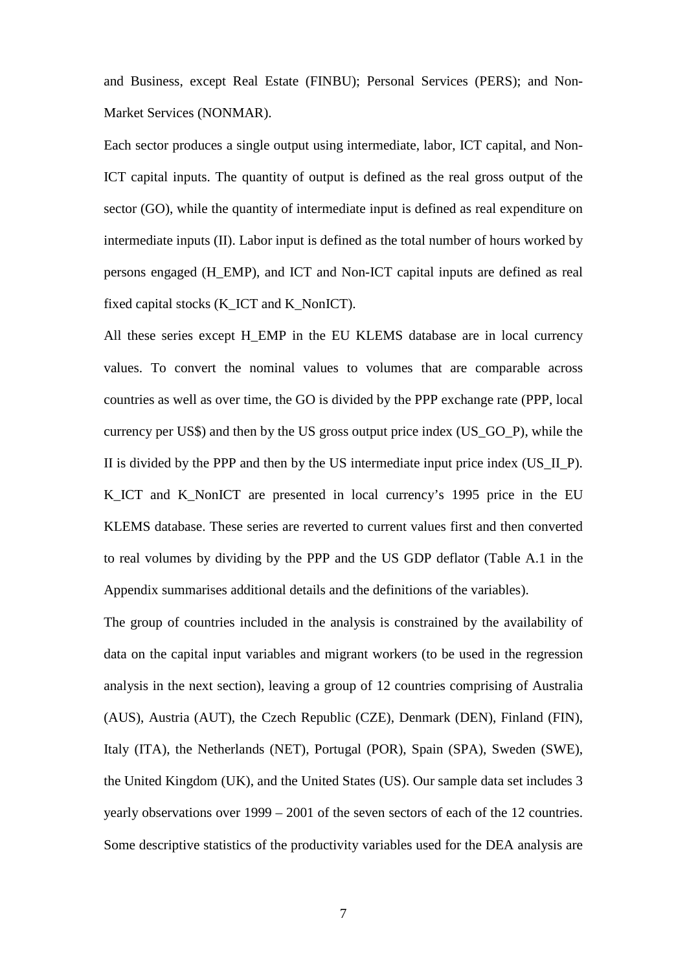and Business, except Real Estate (FINBU); Personal Services (PERS); and Non-Market Services (NONMAR).

Each sector produces a single output using intermediate, labor, ICT capital, and Non-ICT capital inputs. The quantity of output is defined as the real gross output of the sector (GO), while the quantity of intermediate input is defined as real expenditure on intermediate inputs (II). Labor input is defined as the total number of hours worked by persons engaged (H\_EMP), and ICT and Non-ICT capital inputs are defined as real fixed capital stocks (K\_ICT and K\_NonICT).

All these series except H\_EMP in the EU KLEMS database are in local currency values. To convert the nominal values to volumes that are comparable across countries as well as over time, the GO is divided by the PPP exchange rate (PPP, local currency per US\$) and then by the US gross output price index (US\_GO\_P), while the II is divided by the PPP and then by the US intermediate input price index (US\_II\_P). K ICT and K NonICT are presented in local currency's 1995 price in the EU KLEMS database. These series are reverted to current values first and then converted to real volumes by dividing by the PPP and the US GDP deflator (Table A.1 in the Appendix summarises additional details and the definitions of the variables).

The group of countries included in the analysis is constrained by the availability of data on the capital input variables and migrant workers (to be used in the regression analysis in the next section), leaving a group of 12 countries comprising of Australia (AUS), Austria (AUT), the Czech Republic (CZE), Denmark (DEN), Finland (FIN), Italy (ITA), the Netherlands (NET), Portugal (POR), Spain (SPA), Sweden (SWE), the United Kingdom (UK), and the United States (US). Our sample data set includes 3 yearly observations over 1999 – 2001 of the seven sectors of each of the 12 countries. Some descriptive statistics of the productivity variables used for the DEA analysis are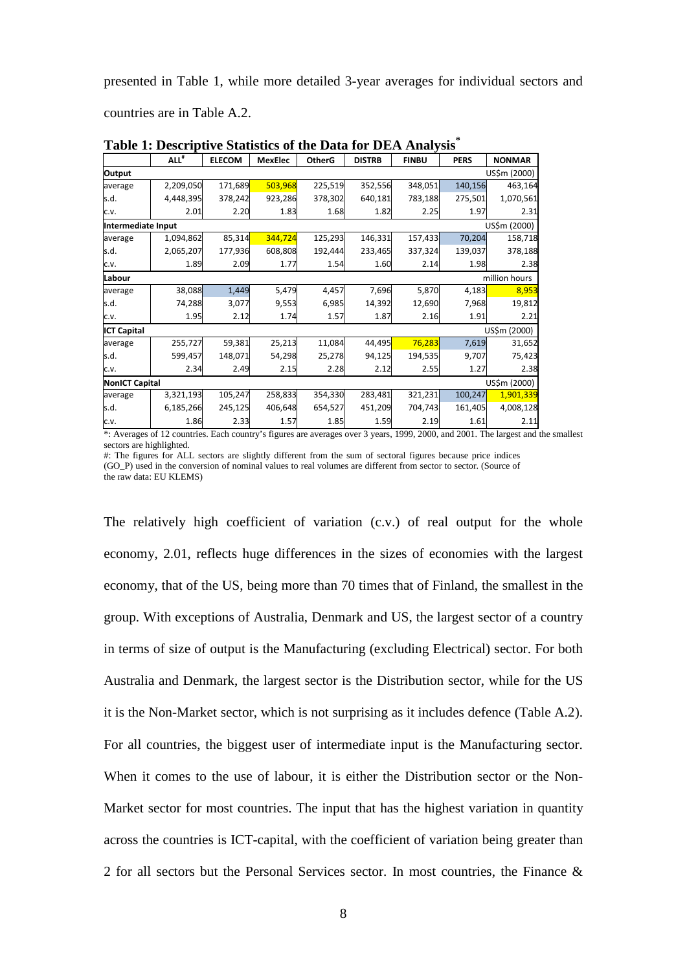presented in Table 1, while more detailed 3-year averages for individual sectors and

countries are in Table A.2.

|                       | ALL <sup>#</sup> | <b>ELECOM</b> | <b>MexElec</b> | <b>OtherG</b> | <b>DISTRB</b> | <b>FINBU</b> | <b>PERS</b> | <b>NONMAR</b> |
|-----------------------|------------------|---------------|----------------|---------------|---------------|--------------|-------------|---------------|
| Output                | US\$m (2000)     |               |                |               |               |              |             |               |
| average               | 2,209,050        | 171,689       | 503,968        | 225,519       | 352,556       | 348,051      | 140,156     | 463,164       |
| s.d.                  | 4,448,395        | 378,242       | 923,286        | 378,302       | 640,181       | 783,188      | 275,501     | 1,070,561     |
| C.V.                  | 2.01             | 2.20          | 1.83           | 1.68          | 1.82          | 2.25         | 1.97        | 2.31          |
| Intermediate Input    |                  |               |                |               |               |              |             | US\$m (2000)  |
| average               | 1,094,862        | 85,314        | 344,724        | 125,293       | 146,331       | 157,433      | 70,204      | 158,718       |
| s.d.                  | 2,065,207        | 177,936       | 608,808        | 192,444       | 233,465       | 337,324      | 139,037     | 378,188       |
| C.V.                  | 1.89             | 2.09          | 1.77           | 1.54          | 1.60          | 2.14         | 1.98        | 2.38          |
| Labour                |                  |               |                |               |               |              |             | million hours |
| average               | 38,088           | 1,449         | 5,479          | 4,457         | 7,696         | 5,870        | 4,183       | 8,953         |
| s.d.                  | 74,288           | 3,077         | 9,553          | 6,985         | 14,392        | 12,690       | 7,968       | 19,812        |
| C.V.                  | 1.95             | 2.12          | 1.74           | 1.57          | 1.87          | 2.16         | 1.91        | 2.21          |
| <b>ICT Capital</b>    |                  |               |                |               |               |              |             | US\$m (2000)  |
| average               | 255,727          | 59,381        | 25,213         | 11,084        | 44,495        | 76,283       | 7,619       | 31,652        |
| s.d.                  | 599,457          | 148,071       | 54,298         | 25,278        | 94,125        | 194,535      | 9,707       | 75,423        |
| C.V.                  | 2.34             | 2.49          | 2.15           | 2.28          | 2.12          | 2.55         | 1.27        | 2.38          |
| <b>NonICT Capital</b> |                  |               |                |               |               |              |             | US\$m (2000)  |
| average               | 3,321,193        | 105,247       | 258,833        | 354,330       | 283,481       | 321,231      | 100,247     | 1,901,339     |
| s.d.                  | 6,185,266        | 245,125       | 406,648        | 654,527       | 451,209       | 704,743      | 161,405     | 4,008,128     |
| C.V.                  | 1.86             | 2.33          | 1.57           | 1.85          | 1.59          | 2.19         | 1.61        | 2.11          |

**Table 1: Descriptive Statistics of the Data for DEA Analysis\***

\*: Averages of 12 countries. Each country's figures are averages over 3 years, 1999, 2000, and 2001. The largest and the smallest sectors are highlighted.

#: The figures for ALL sectors are slightly different from the sum of sectoral figures because price indices (GO\_P) used in the conversion of nominal values to real volumes are different from sector to sector. (Source of the raw data: EU KLEMS)

The relatively high coefficient of variation (c.v.) of real output for the whole economy, 2.01, reflects huge differences in the sizes of economies with the largest economy, that of the US, being more than 70 times that of Finland, the smallest in the group. With exceptions of Australia, Denmark and US, the largest sector of a country in terms of size of output is the Manufacturing (excluding Electrical) sector. For both Australia and Denmark, the largest sector is the Distribution sector, while for the US it is the Non-Market sector, which is not surprising as it includes defence (Table A.2). For all countries, the biggest user of intermediate input is the Manufacturing sector. When it comes to the use of labour, it is either the Distribution sector or the Non-Market sector for most countries. The input that has the highest variation in quantity across the countries is ICT-capital, with the coefficient of variation being greater than 2 for all sectors but the Personal Services sector. In most countries, the Finance &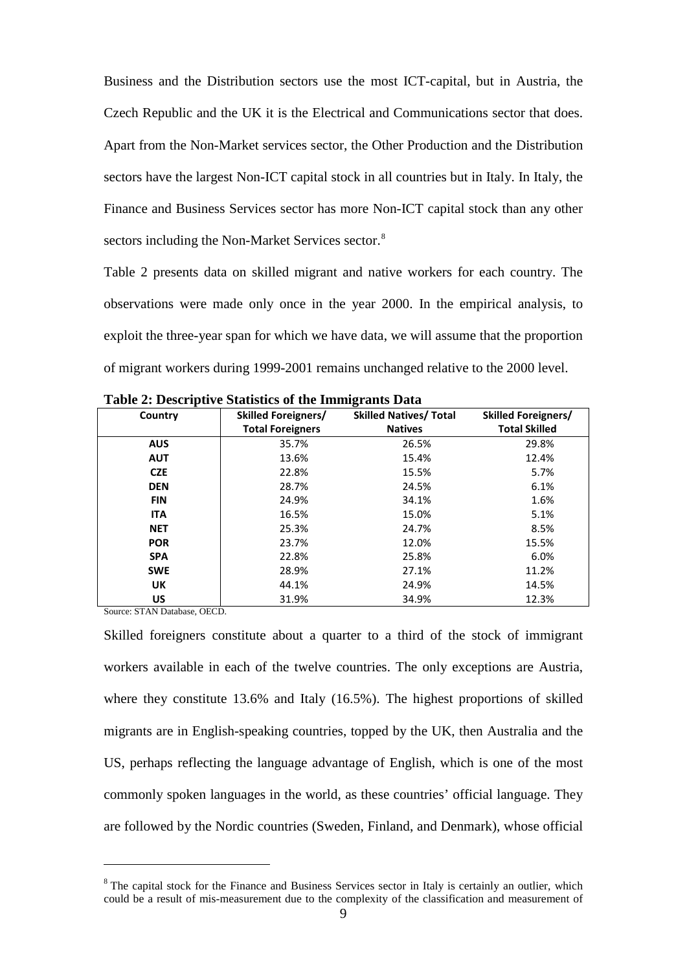Business and the Distribution sectors use the most ICT-capital, but in Austria, the Czech Republic and the UK it is the Electrical and Communications sector that does. Apart from the Non-Market services sector, the Other Production and the Distribution sectors have the largest Non-ICT capital stock in all countries but in Italy. In Italy, the Finance and Business Services sector has more Non-ICT capital stock than any other sectors including the Non-Market Services sector.<sup>8</sup>

Table 2 presents data on skilled migrant and native workers for each country. The observations were made only once in the year 2000. In the empirical analysis, to exploit the three-year span for which we have data, we will assume that the proportion of migrant workers during 1999-2001 remains unchanged relative to the 2000 level.

| Country    | <b>Skilled Foreigners/</b> | <b>Skilled Natives/ Total</b> | <b>Skilled Foreigners/</b> |
|------------|----------------------------|-------------------------------|----------------------------|
|            | <b>Total Foreigners</b>    | <b>Natives</b>                | <b>Total Skilled</b>       |
| <b>AUS</b> | 35.7%                      | 26.5%                         | 29.8%                      |
| <b>AUT</b> | 13.6%                      | 15.4%                         | 12.4%                      |
| <b>CZE</b> | 22.8%                      | 15.5%                         | 5.7%                       |
| <b>DEN</b> | 28.7%                      | 24.5%                         | 6.1%                       |
| <b>FIN</b> | 24.9%                      | 34.1%                         | 1.6%                       |
| <b>ITA</b> | 16.5%                      | 15.0%                         | 5.1%                       |
| <b>NET</b> | 25.3%                      | 24.7%                         | 8.5%                       |
| <b>POR</b> | 23.7%                      | 12.0%                         | 15.5%                      |
| <b>SPA</b> | 22.8%                      | 25.8%                         | 6.0%                       |
| <b>SWE</b> | 28.9%                      | 27.1%                         | 11.2%                      |
| <b>UK</b>  | 44.1%                      | 24.9%                         | 14.5%                      |
| US         | 31.9%                      | 34.9%                         | 12.3%                      |

**Table 2: Descriptive Statistics of the Immigrants Data** 

Source: STAN Database, OECD.

<span id="page-11-1"></span><span id="page-11-0"></span><u>.</u>

Skilled foreigners constitute about a quarter to a third of the stock of immigrant workers available in each of the twelve countries. The only exceptions are Austria, where they constitute 13.6% and Italy (16.5%). The highest proportions of skilled migrants are in English-speaking countries, topped by the UK, then Australia and the US, perhaps reflecting the language advantage of English, which is one of the most commonly spoken languages in the world, as these countries' official language. They are followed by the Nordic countries (Sweden, Finland, and Denmark), whose official

<sup>&</sup>lt;sup>8</sup> The capital stock for the Finance and Business Services sector in Italy is certainly an outlier, which could be a result of mis-measurement due to the complexity of the classification and measurement of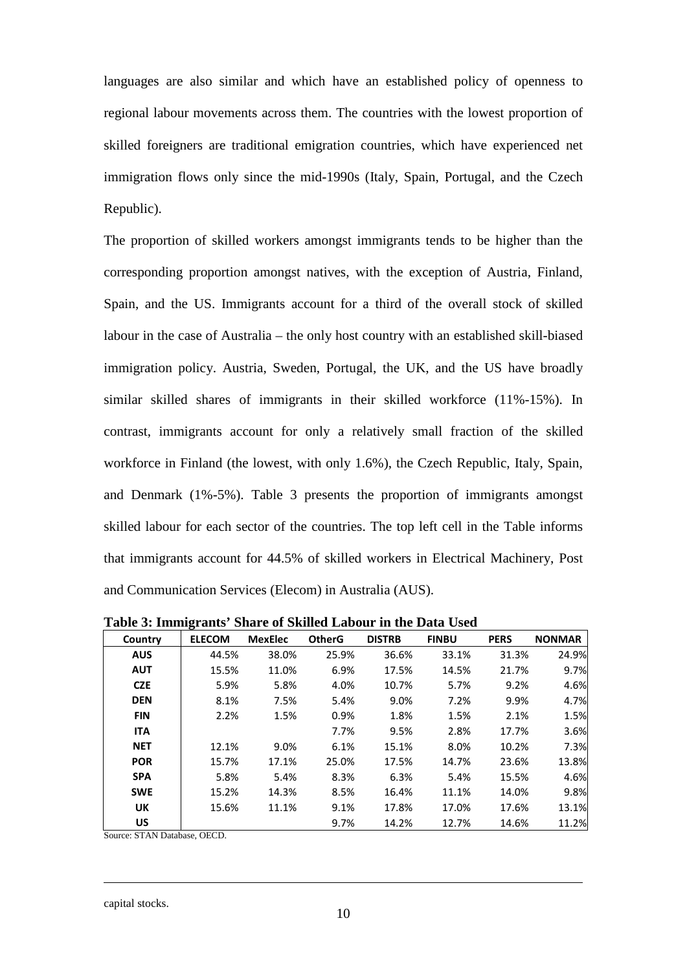languages are also similar and which have an established policy of openness to regional labour movements across them. The countries with the lowest proportion of skilled foreigners are traditional emigration countries, which have experienced net immigration flows only since the mid-1990s (Italy, Spain, Portugal, and the Czech Republic).

The proportion of skilled workers amongst immigrants tends to be higher than the corresponding proportion amongst natives, with the exception of Austria, Finland, Spain, and the US. Immigrants account for a third of the overall stock of skilled labour in the case of Australia – the only host country with an established skill-biased immigration policy. Austria, Sweden, Portugal, the UK, and the US have broadly similar skilled shares of immigrants in their skilled workforce (11%-15%). In contrast, immigrants account for only a relatively small fraction of the skilled workforce in Finland (the lowest, with only 1.6%), the Czech Republic, Italy, Spain, and Denmark (1%-5%). Table 3 presents the proportion of immigrants amongst skilled labour for each sector of the countries. The top left cell in the Table informs that immigrants account for 44.5% of skilled workers in Electrical Machinery, Post and Communication Services (Elecom) in Australia (AUS).

| Country    | <b>ELECOM</b> | <b>MexElec</b> | <b>OtherG</b> | <b>DISTRB</b> | <b>FINBU</b> | <b>PERS</b> | <b>NONMAR</b> |
|------------|---------------|----------------|---------------|---------------|--------------|-------------|---------------|
| <b>AUS</b> | 44.5%         | 38.0%          | 25.9%         | 36.6%         | 33.1%        | 31.3%       | 24.9%         |
| <b>AUT</b> | 15.5%         | 11.0%          | 6.9%          | 17.5%         | 14.5%        | 21.7%       | 9.7%          |
| <b>CZE</b> | 5.9%          | 5.8%           | 4.0%          | 10.7%         | 5.7%         | 9.2%        | 4.6%          |
| <b>DEN</b> | 8.1%          | 7.5%           | 5.4%          | 9.0%          | 7.2%         | 9.9%        | 4.7%          |
| <b>FIN</b> | 2.2%          | 1.5%           | 0.9%          | 1.8%          | 1.5%         | 2.1%        | 1.5%          |
| <b>ITA</b> |               |                | 7.7%          | 9.5%          | 2.8%         | 17.7%       | 3.6%          |
| <b>NET</b> | 12.1%         | 9.0%           | 6.1%          | 15.1%         | 8.0%         | 10.2%       | 7.3%          |
| <b>POR</b> | 15.7%         | 17.1%          | 25.0%         | 17.5%         | 14.7%        | 23.6%       | 13.8%         |
| <b>SPA</b> | 5.8%          | 5.4%           | 8.3%          | 6.3%          | 5.4%         | 15.5%       | 4.6%          |
| <b>SWE</b> | 15.2%         | 14.3%          | 8.5%          | 16.4%         | 11.1%        | 14.0%       | 9.8%          |
| UK         | 15.6%         | 11.1%          | 9.1%          | 17.8%         | 17.0%        | 17.6%       | 13.1%         |
| US         |               |                | 9.7%          | 14.2%         | 12.7%        | 14.6%       | 11.2%         |

**Table 3: Immigrants' Share of Skilled Labour in the Data Used**

Source: STAN Database, OECD.

<u>.</u>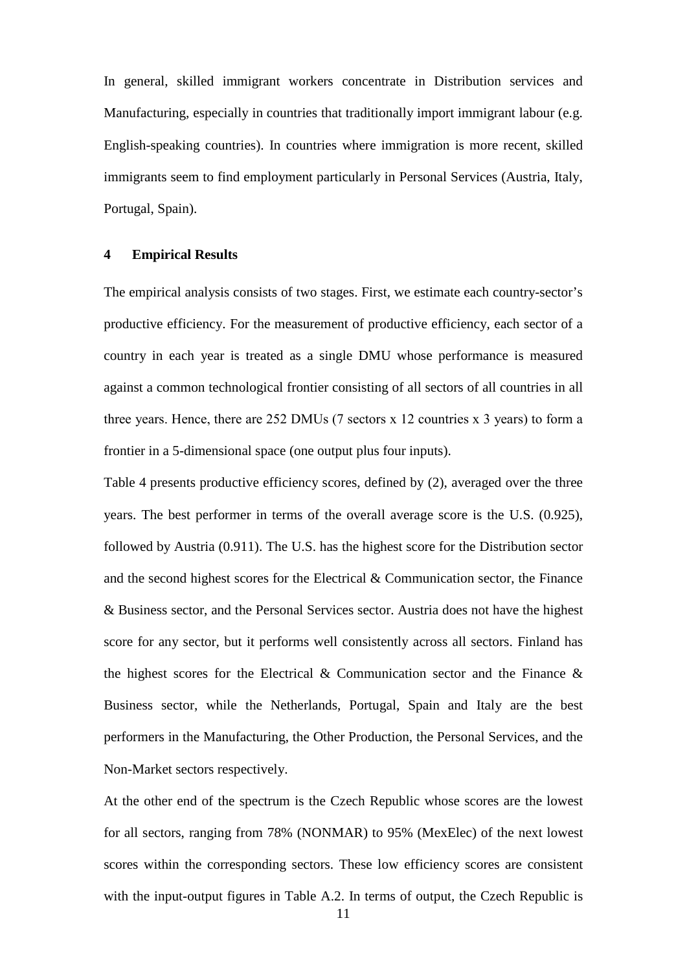In general, skilled immigrant workers concentrate in Distribution services and Manufacturing, especially in countries that traditionally import immigrant labour (e.g. English-speaking countries). In countries where immigration is more recent, skilled immigrants seem to find employment particularly in Personal Services (Austria, Italy, Portugal, Spain).

#### **4 Empirical Results**

The empirical analysis consists of two stages. First, we estimate each country-sector's productive efficiency. For the measurement of productive efficiency, each sector of a country in each year is treated as a single DMU whose performance is measured against a common technological frontier consisting of all sectors of all countries in all three years. Hence, there are 252 DMUs (7 sectors х 12 countries х 3 years) to form a frontier in a 5-dimensional space (one output plus four inputs).

Table 4 presents productive efficiency scores, defined by (2), averaged over the three years. The best performer in terms of the overall average score is the U.S. (0.925), followed by Austria (0.911). The U.S. has the highest score for the Distribution sector and the second highest scores for the Electrical & Communication sector, the Finance & Business sector, and the Personal Services sector. Austria does not have the highest score for any sector, but it performs well consistently across all sectors. Finland has the highest scores for the Electrical & Communication sector and the Finance  $\&$ Business sector, while the Netherlands, Portugal, Spain and Italy are the best performers in the Manufacturing, the Other Production, the Personal Services, and the Non-Market sectors respectively.

At the other end of the spectrum is the Czech Republic whose scores are the lowest for all sectors, ranging from 78% (NONMAR) to 95% (MexElec) of the next lowest scores within the corresponding sectors. These low efficiency scores are consistent with the input-output figures in Table A.2. In terms of output, the Czech Republic is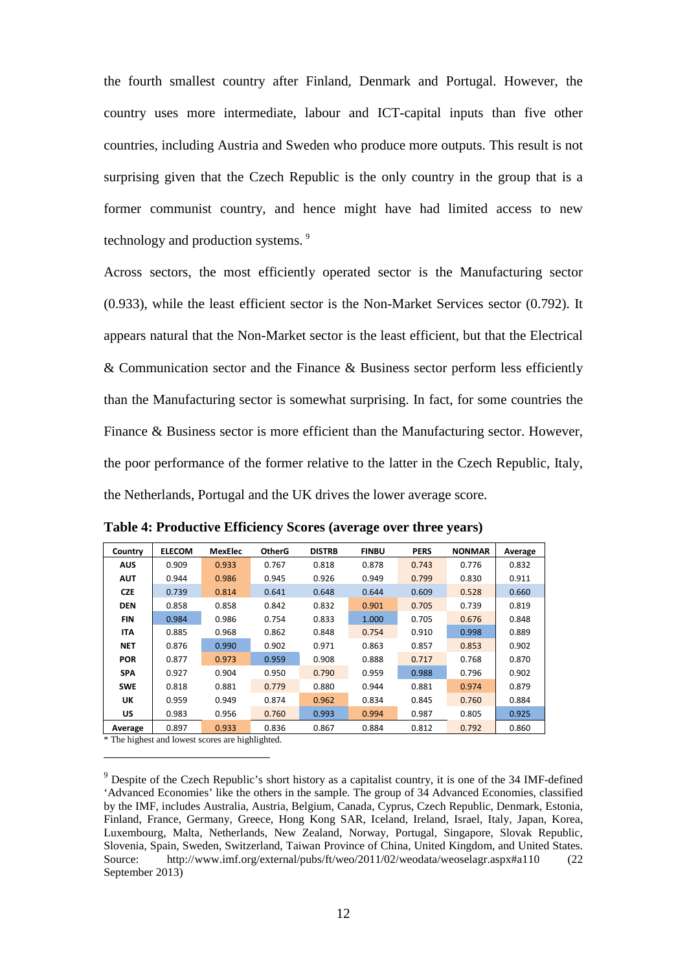the fourth smallest country after Finland, Denmark and Portugal. However, the country uses more intermediate, labour and ICT-capital inputs than five other countries, including Austria and Sweden who produce more outputs. This result is not surprising given that the Czech Republic is the only country in the group that is a former communist country, and hence might have had limited access to new technology and production systems.<sup>[9](#page-11-1)</sup>

Across sectors, the most efficiently operated sector is the Manufacturing sector (0.933), while the least efficient sector is the Non-Market Services sector (0.792). It appears natural that the Non-Market sector is the least efficient, but that the Electrical & Communication sector and the Finance & Business sector perform less efficiently than the Manufacturing sector is somewhat surprising. In fact, for some countries the Finance & Business sector is more efficient than the Manufacturing sector. However, the poor performance of the former relative to the latter in the Czech Republic, Italy, the Netherlands, Portugal and the UK drives the lower average score.

| Country    | <b>ELECOM</b> | <b>MexElec</b> | <b>OtherG</b> | <b>DISTRB</b> | <b>FINBU</b> | <b>PERS</b> | <b>NONMAR</b> | Average |
|------------|---------------|----------------|---------------|---------------|--------------|-------------|---------------|---------|
| <b>AUS</b> | 0.909         | 0.933          | 0.767         | 0.818         | 0.878        | 0.743       | 0.776         | 0.832   |
| <b>AUT</b> | 0.944         | 0.986          | 0.945         | 0.926         | 0.949        | 0.799       | 0.830         | 0.911   |
| <b>CZE</b> | 0.739         | 0.814          | 0.641         | 0.648         | 0.644        | 0.609       | 0.528         | 0.660   |
| <b>DEN</b> | 0.858         | 0.858          | 0.842         | 0.832         | 0.901        | 0.705       | 0.739         | 0.819   |
| <b>FIN</b> | 0.984         | 0.986          | 0.754         | 0.833         | 1.000        | 0.705       | 0.676         | 0.848   |
| <b>ITA</b> | 0.885         | 0.968          | 0.862         | 0.848         | 0.754        | 0.910       | 0.998         | 0.889   |
| <b>NET</b> | 0.876         | 0.990          | 0.902         | 0.971         | 0.863        | 0.857       | 0.853         | 0.902   |
| <b>POR</b> | 0.877         | 0.973          | 0.959         | 0.908         | 0.888        | 0.717       | 0.768         | 0.870   |
| <b>SPA</b> | 0.927         | 0.904          | 0.950         | 0.790         | 0.959        | 0.988       | 0.796         | 0.902   |
| <b>SWE</b> | 0.818         | 0.881          | 0.779         | 0.880         | 0.944        | 0.881       | 0.974         | 0.879   |
| UK         | 0.959         | 0.949          | 0.874         | 0.962         | 0.834        | 0.845       | 0.760         | 0.884   |
| <b>US</b>  | 0.983         | 0.956          | 0.760         | 0.993         | 0.994        | 0.987       | 0.805         | 0.925   |
| Average    | 0.897         | 0.933          | 0.836         | 0.867         | 0.884        | 0.812       | 0.792         | 0.860   |

**Table 4: Productive Efficiency Scores (average over three years)**

\* The highest and lowest scores are highlighted.

-

<span id="page-14-0"></span> $9<sup>9</sup>$  Despite of the Czech Republic's short history as a capitalist country, it is one of the 34 IMF-defined 'Advanced Economies' like the others in the sample. The group of 34 Advanced Economies, classified by the IMF, includes Australia, Austria, Belgium, Canada, Cyprus, Czech Republic, Denmark, Estonia, Finland, France, Germany, Greece, Hong Kong SAR, Iceland, Ireland, Israel, Italy, Japan, Korea, Luxembourg, Malta, Netherlands, New Zealand, Norway, Portugal, Singapore, Slovak Republic, Slovenia, Spain, Sweden, Switzerland, Taiwan Province of China, United Kingdom, and United States. Source: <http://www.imf.org/external/pubs/ft/weo/2011/02/weodata/weoselagr.aspx#a110> (22 September 2013)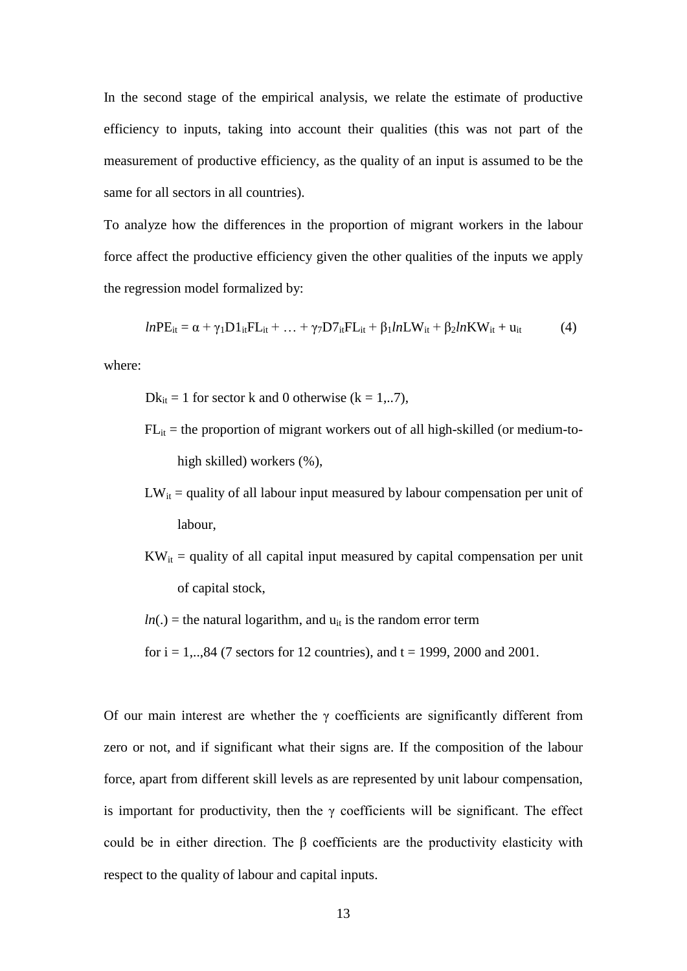In the second stage of the empirical analysis, we relate the estimate of productive efficiency to inputs, taking into account their qualities (this was not part of the measurement of productive efficiency, as the quality of an input is assumed to be the same for all sectors in all countries).

To analyze how the differences in the proportion of migrant workers in the labour force affect the productive efficiency given the other qualities of the inputs we apply the regression model formalized by:

$$
lnPE_{it} = \alpha + \gamma_1 DI_{it}FL_{it} + \dots + \gamma_7 D7_{it}FL_{it} + \beta_1 lnLW_{it} + \beta_2 lnKW_{it} + u_{it}
$$
 (4)

where:

- $Dk_{it} = 1$  for sector k and 0 otherwise (k = 1,..7),
- $FL_{it}$  = the proportion of migrant workers out of all high-skilled (or medium-tohigh skilled) workers (%),
- $LW_{it}$  = quality of all labour input measured by labour compensation per unit of labour,
- $KW_{it} =$  quality of all capital input measured by capital compensation per unit of capital stock,
- $ln(.)$  = the natural logarithm, and  $u_{it}$  is the random error term
- for  $i = 1,..,84$  (7 sectors for 12 countries), and  $t = 1999, 2000$  and 2001.

Of our main interest are whether the  $\gamma$  coefficients are significantly different from zero or not, and if significant what their signs are. If the composition of the labour force, apart from different skill levels as are represented by unit labour compensation, is important for productivity, then the  $\gamma$  coefficients will be significant. The effect could be in either direction. The β coefficients are the productivity elasticity with respect to the quality of labour and capital inputs.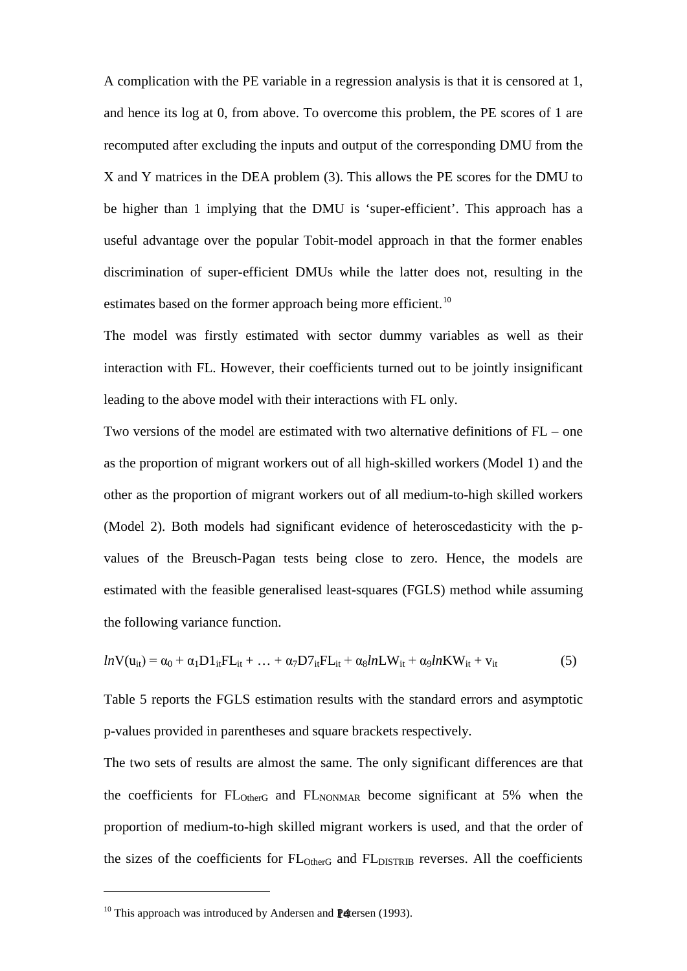A complication with the PE variable in a regression analysis is that it is censored at 1, and hence its log at 0, from above. To overcome this problem, the PE scores of 1 are recomputed after excluding the inputs and output of the corresponding DMU from the X and Y matrices in the DEA problem (3). This allows the PE scores for the DMU to be higher than 1 implying that the DMU is 'super-efficient'. This approach has a useful advantage over the popular Tobit-model approach in that the former enables discrimination of super-efficient DMUs while the latter does not, resulting in the estimates based on the former approach being more efficient.<sup>[10](#page-14-0)</sup>

The model was firstly estimated with sector dummy variables as well as their interaction with FL. However, their coefficients turned out to be jointly insignificant leading to the above model with their interactions with FL only.

Two versions of the model are estimated with two alternative definitions of FL – one as the proportion of migrant workers out of all high-skilled workers (Model 1) and the other as the proportion of migrant workers out of all medium-to-high skilled workers (Model 2). Both models had significant evidence of heteroscedasticity with the pvalues of the Breusch-Pagan tests being close to zero. Hence, the models are estimated with the feasible generalised least-squares (FGLS) method while assuming the following variance function.

$$
ln V(u_{it}) = \alpha_0 + \alpha_1 D1_{it}FL_{it} + ... + \alpha_7 D7_{it}FL_{it} + \alpha_8 lnLW_{it} + \alpha_9 lnKW_{it} + v_{it}
$$
(5)

Table 5 reports the FGLS estimation results with the standard errors and asymptotic p-values provided in parentheses and square brackets respectively.

The two sets of results are almost the same. The only significant differences are that the coefficients for  $FL_{OtherG}$  and  $FL_{NONMAR}$  become significant at 5% when the proportion of medium-to-high skilled migrant workers is used, and that the order of the sizes of the coefficients for FL<sub>OtherG</sub> and FL<sub>DISTRIB</sub> reverses. All the coefficients

-

<sup>&</sup>lt;sup>10</sup> This approach was introduced by Andersen and  $\mathbb P$  detersen (1993).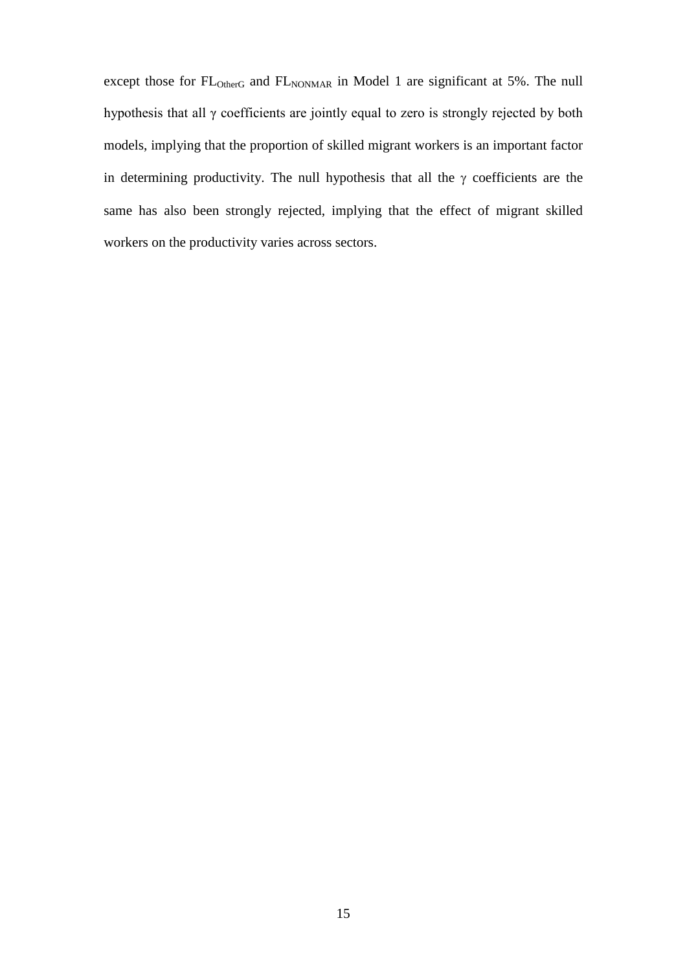except those for FL<sub>OtherG</sub> and FL<sub>NONMAR</sub> in Model 1 are significant at 5%. The null hypothesis that all γ coefficients are jointly equal to zero is strongly rejected by both models, implying that the proportion of skilled migrant workers is an important factor in determining productivity. The null hypothesis that all the  $\gamma$  coefficients are the same has also been strongly rejected, implying that the effect of migrant skilled workers on the productivity varies across sectors.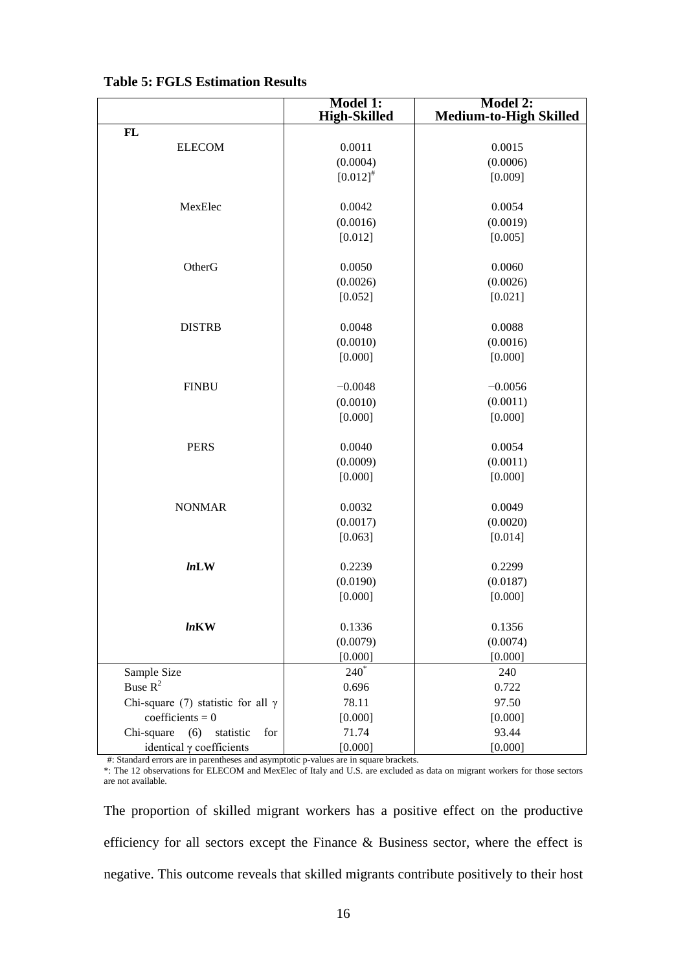|                                           | <b>Model 1:</b><br><b>High-Skilled</b> | Model 2:<br><b>Medium-to-High Skilled</b> |
|-------------------------------------------|----------------------------------------|-------------------------------------------|
| $\mathbf{FL}$                             |                                        |                                           |
| <b>ELECOM</b>                             | 0.0011                                 | 0.0015                                    |
|                                           | (0.0004)                               | (0.0006)                                  |
|                                           | $[0.012]^{4}$                          | [0.009]                                   |
|                                           |                                        |                                           |
| MexElec                                   | 0.0042                                 | 0.0054                                    |
|                                           | (0.0016)                               | (0.0019)                                  |
|                                           | [0.012]                                | [0.005]                                   |
|                                           |                                        |                                           |
| OtherG                                    | 0.0050                                 | 0.0060                                    |
|                                           | (0.0026)                               | (0.0026)                                  |
|                                           | [0.052]                                | [0.021]                                   |
|                                           |                                        |                                           |
| <b>DISTRB</b>                             | 0.0048                                 | 0.0088                                    |
|                                           | (0.0010)                               | (0.0016)                                  |
|                                           | [0.000]                                | [0.000]                                   |
|                                           |                                        |                                           |
| <b>FINBU</b>                              | $-0.0048$                              | $-0.0056$                                 |
|                                           | (0.0010)                               | (0.0011)                                  |
|                                           | [0.000]                                | [0.000]                                   |
|                                           |                                        |                                           |
| <b>PERS</b>                               | 0.0040                                 | 0.0054                                    |
|                                           | (0.0009)                               | (0.0011)                                  |
|                                           | [0.000]                                | [0.000]                                   |
|                                           |                                        |                                           |
| <b>NONMAR</b>                             | 0.0032                                 | 0.0049                                    |
|                                           | (0.0017)                               | (0.0020)                                  |
|                                           | [0.063]                                | [0.014]                                   |
| lnLW                                      | 0.2239                                 | 0.2299                                    |
|                                           | (0.0190)                               | (0.0187)                                  |
|                                           | [0.000]                                | [0.000]                                   |
|                                           |                                        |                                           |
| <i>ln</i> KW                              | 0.1336                                 | 0.1356                                    |
|                                           | (0.0079)                               | (0.0074)                                  |
|                                           | [0.000]                                | [0.000]                                   |
| Sample Size                               | $240^*$                                | 240                                       |
| Buse $R^2$                                | 0.696                                  | 0.722                                     |
| Chi-square (7) statistic for all $\gamma$ | 78.11                                  | 97.50                                     |
| coefficients = $0$                        | [0.000]                                | [0.000]                                   |
| Chi-square<br>(6)<br>statistic<br>for     | 71.74                                  | 93.44                                     |
| identical $\gamma$ coefficients           | [0.000]                                | [0.000]                                   |

#### **Table 5: FGLS Estimation Results**

#: Standard errors are in parentheses and asymptotic p-values are in square brackets.

\*: The 12 observations for ELECOM and MexElec of Italy and U.S. are excluded as data on migrant workers for those sectors are not available.

The proportion of skilled migrant workers has a positive effect on the productive efficiency for all sectors except the Finance & Business sector, where the effect is negative. This outcome reveals that skilled migrants contribute positively to their host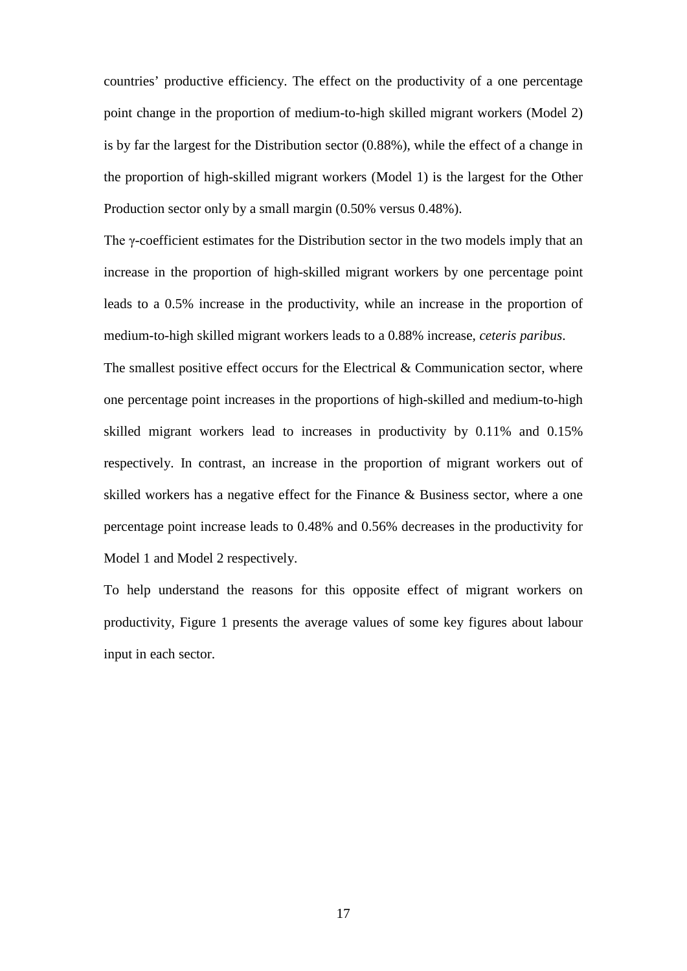countries' productive efficiency. The effect on the productivity of a one percentage point change in the proportion of medium-to-high skilled migrant workers (Model 2) is by far the largest for the Distribution sector (0.88%), while the effect of a change in the proportion of high-skilled migrant workers (Model 1) is the largest for the Other Production sector only by a small margin (0.50% versus 0.48%).

The γ-coefficient estimates for the Distribution sector in the two models imply that an increase in the proportion of high-skilled migrant workers by one percentage point leads to a 0.5% increase in the productivity, while an increase in the proportion of medium-to-high skilled migrant workers leads to a 0.88% increase, *ceteris paribus*.

The smallest positive effect occurs for the Electrical & Communication sector, where one percentage point increases in the proportions of high-skilled and medium-to-high skilled migrant workers lead to increases in productivity by 0.11% and 0.15% respectively. In contrast, an increase in the proportion of migrant workers out of skilled workers has a negative effect for the Finance & Business sector, where a one percentage point increase leads to 0.48% and 0.56% decreases in the productivity for Model 1 and Model 2 respectively.

To help understand the reasons for this opposite effect of migrant workers on productivity, Figure 1 presents the average values of some key figures about labour input in each sector.

17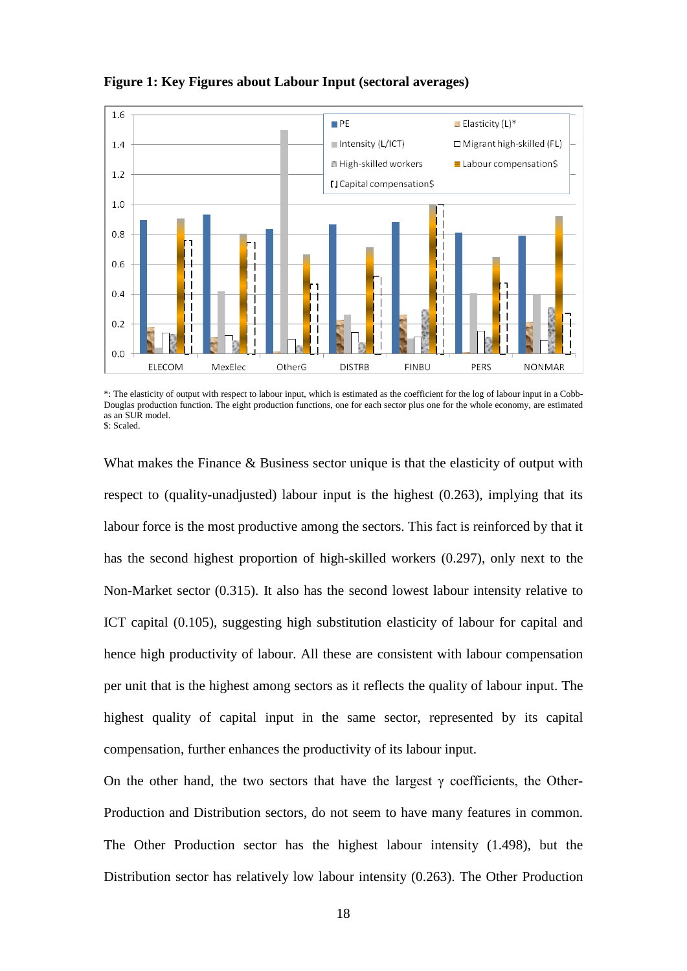

#### **Figure 1: Key Figures about Labour Input (sectoral averages)**

What makes the Finance & Business sector unique is that the elasticity of output with respect to (quality-unadjusted) labour input is the highest (0.263), implying that its labour force is the most productive among the sectors. This fact is reinforced by that it has the second highest proportion of high-skilled workers (0.297), only next to the Non-Market sector (0.315). It also has the second lowest labour intensity relative to ICT capital (0.105), suggesting high substitution elasticity of labour for capital and hence high productivity of labour. All these are consistent with labour compensation per unit that is the highest among sectors as it reflects the quality of labour input. The highest quality of capital input in the same sector, represented by its capital compensation, further enhances the productivity of its labour input.

On the other hand, the two sectors that have the largest  $\gamma$  coefficients, the Other-Production and Distribution sectors, do not seem to have many features in common. The Other Production sector has the highest labour intensity (1.498), but the Distribution sector has relatively low labour intensity (0.263). The Other Production

<sup>\*:</sup> The elasticity of output with respect to labour input, which is estimated as the coefficient for the log of labour input in a Cobb-Douglas production function. The eight production functions, one for each sector plus one for the whole economy, are estimated as an SUR model. \$: Scaled.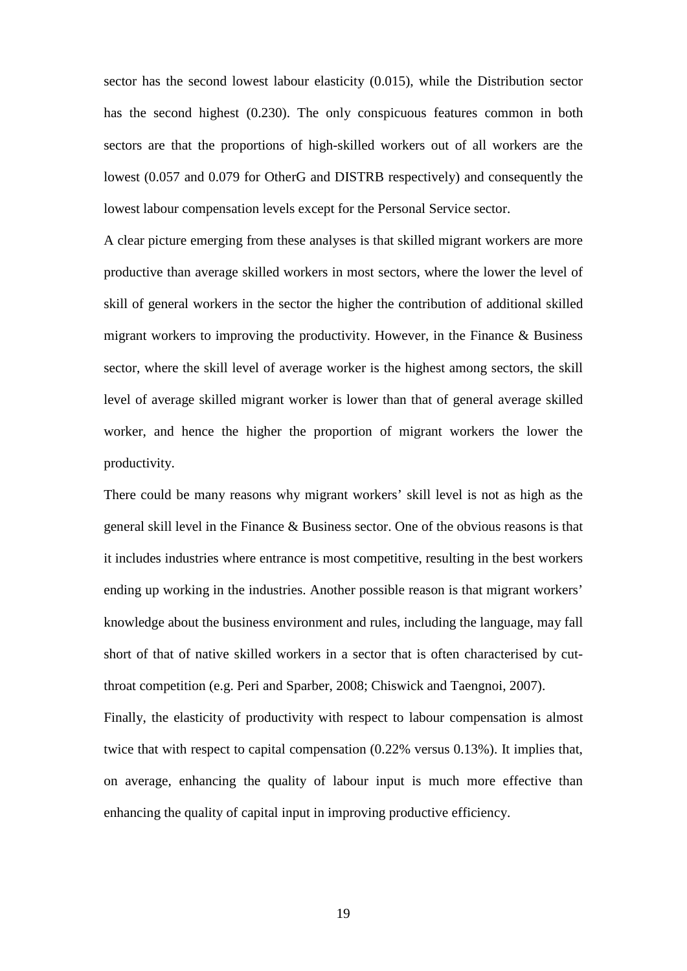sector has the second lowest labour elasticity (0.015), while the Distribution sector has the second highest (0.230). The only conspicuous features common in both sectors are that the proportions of high-skilled workers out of all workers are the lowest (0.057 and 0.079 for OtherG and DISTRB respectively) and consequently the lowest labour compensation levels except for the Personal Service sector.

A clear picture emerging from these analyses is that skilled migrant workers are more productive than average skilled workers in most sectors, where the lower the level of skill of general workers in the sector the higher the contribution of additional skilled migrant workers to improving the productivity. However, in the Finance  $\&$  Business sector, where the skill level of average worker is the highest among sectors, the skill level of average skilled migrant worker is lower than that of general average skilled worker, and hence the higher the proportion of migrant workers the lower the productivity.

There could be many reasons why migrant workers' skill level is not as high as the general skill level in the Finance & Business sector. One of the obvious reasons is that it includes industries where entrance is most competitive, resulting in the best workers ending up working in the industries. Another possible reason is that migrant workers' knowledge about the business environment and rules, including the language, may fall short of that of native skilled workers in a sector that is often characterised by cutthroat competition (e.g. Peri and Sparber, 2008; Chiswick and Taengnoi, 2007). Finally, the elasticity of productivity with respect to labour compensation is almost twice that with respect to capital compensation (0.22% versus 0.13%). It implies that, on average, enhancing the quality of labour input is much more effective than enhancing the quality of capital input in improving productive efficiency.

19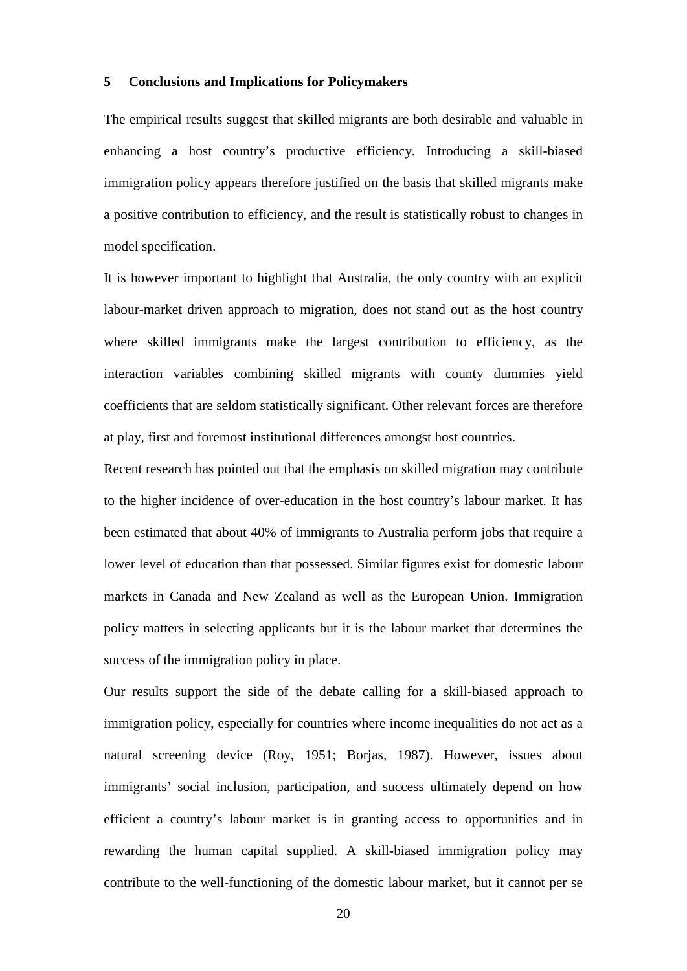#### **5 Conclusions and Implications for Policymakers**

The empirical results suggest that skilled migrants are both desirable and valuable in enhancing a host country's productive efficiency. Introducing a skill-biased immigration policy appears therefore justified on the basis that skilled migrants make a positive contribution to efficiency, and the result is statistically robust to changes in model specification.

It is however important to highlight that Australia, the only country with an explicit labour-market driven approach to migration, does not stand out as the host country where skilled immigrants make the largest contribution to efficiency, as the interaction variables combining skilled migrants with county dummies yield coefficients that are seldom statistically significant. Other relevant forces are therefore at play, first and foremost institutional differences amongst host countries.

Recent research has pointed out that the emphasis on skilled migration may contribute to the higher incidence of over-education in the host country's labour market. It has been estimated that about 40% of immigrants to Australia perform jobs that require a lower level of education than that possessed. Similar figures exist for domestic labour markets in Canada and New Zealand as well as the European Union. Immigration policy matters in selecting applicants but it is the labour market that determines the success of the immigration policy in place.

Our results support the side of the debate calling for a skill-biased approach to immigration policy, especially for countries where income inequalities do not act as a natural screening device (Roy, 1951; Borjas, 1987). However, issues about immigrants' social inclusion, participation, and success ultimately depend on how efficient a country's labour market is in granting access to opportunities and in rewarding the human capital supplied. A skill-biased immigration policy may contribute to the well-functioning of the domestic labour market, but it cannot per se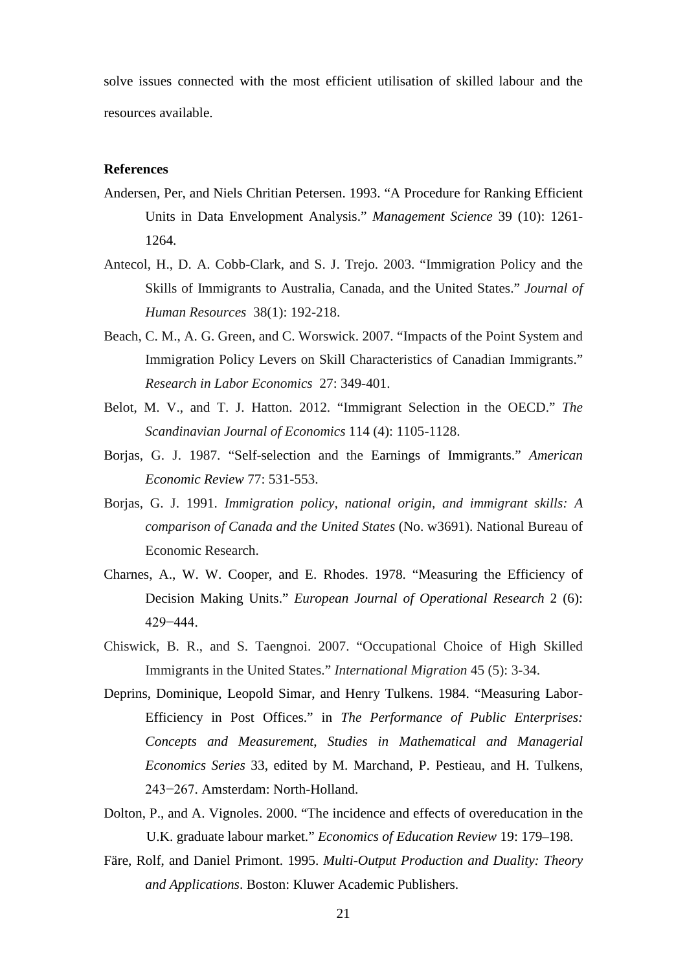solve issues connected with the most efficient utilisation of skilled labour and the resources available.

#### **References**

- Andersen, Per, and Niels Chritian Petersen. 1993. "A Procedure for Ranking Efficient Units in Data Envelopment Analysis." *Management Science* 39 (10): 1261- 1264.
- Antecol, H., D. A. Cobb-Clark, and S. J. Trejo. 2003. "Immigration Policy and the Skills of Immigrants to Australia, Canada, and the United States." *Journal of Human Resources* 38(1): 192-218.
- Beach, C. M., A. G. Green, and C. Worswick. 2007. "Impacts of the Point System and Immigration Policy Levers on Skill Characteristics of Canadian Immigrants." *Research in Labor Economics* 27: 349-401.
- Belot, M. V., and T. J. Hatton. 2012. "Immigrant Selection in the OECD." *The Scandinavian Journal of Economics* 114 (4): 1105-1128.
- Borjas, G. J. 1987. "Self-selection and the Earnings of Immigrants." *American Economic Review* 77: 531-553.
- Borjas, G. J. 1991. *Immigration policy, national origin, and immigrant skills: A comparison of Canada and the United States* (No. w3691). National Bureau of Economic Research.
- Charnes, A., W. W. Cooper, and E. Rhodes. 1978. "Measuring the Efficiency of Decision Making Units." *European Journal of Operational Research* 2 (6): 429−444.
- Chiswick, B. R., and S. Taengnoi. 2007. "Occupational Choice of High Skilled Immigrants in the United States." *International Migration* 45 (5): 3-34.
- Deprins, Dominique, Leopold Simar, and Henry Tulkens. 1984. "Measuring Labor-Efficiency in Post Offices." in *The Performance of Public Enterprises: Concepts and Measurement*, *Studies in Mathematical and Managerial Economics Series* 33, edited by M. Marchand, P. Pestieau, and H. Tulkens, 243−267. Amsterdam: North-Holland.
- Dolton, P., and A. Vignoles. 2000. "The incidence and effects of overeducation in the U.K. graduate labour market." *Economics of Education Review* 19: 179–198.
- Färe, Rolf, and Daniel Primont. 1995. *Multi-Output Production and Duality: Theory and Applications*. Boston: Kluwer Academic Publishers.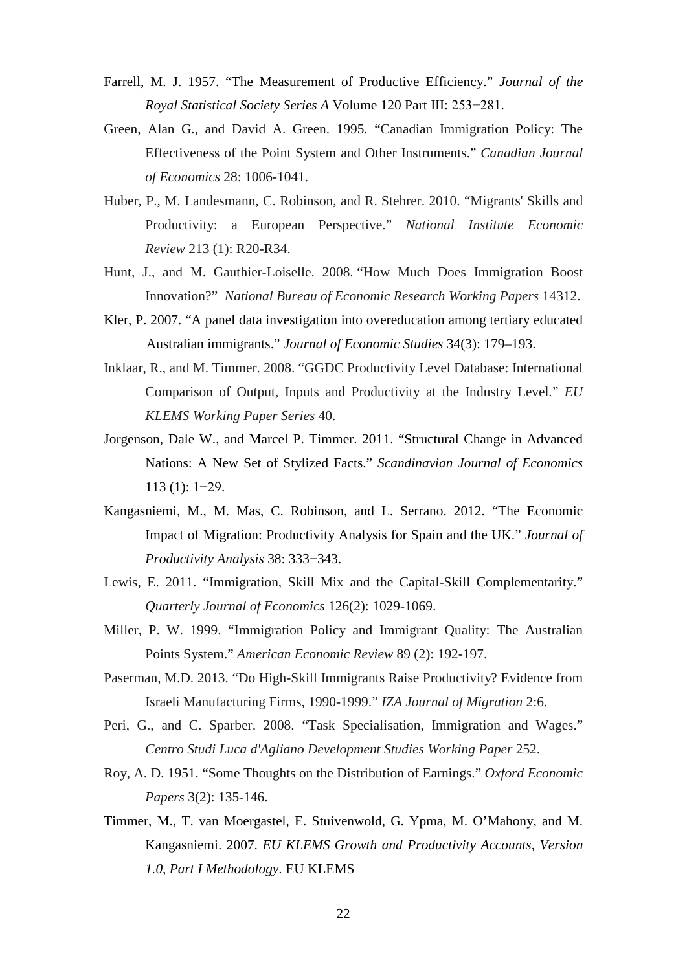- Farrell, M. J. 1957. "The Measurement of Productive Efficiency." *Journal of the Royal Statistical Society Series A* Volume 120 Part III: 253−281.
- Green, Alan G., and David A. Green. 1995. "Canadian Immigration Policy: The Effectiveness of the Point System and Other Instruments." *Canadian Journal of Economics* 28: 1006-1041.
- Huber, P., M. Landesmann, C. Robinson, and R. Stehrer. 2010. "Migrants' Skills and Productivity: a European Perspective." *National Institute Economic Review* 213 (1): R20-R34.
- Hunt, J., and M. Gauthier-Loiselle. 2008. "How Much Does Immigration Boost Innovation?" *National Bureau of Economic Research Working Papers* 14312.
- Kler, P. 2007. "A panel data investigation into overeducation among tertiary educated Australian immigrants." *Journal of Economic Studies* 34(3): 179–193.
- Inklaar, R., and M. Timmer. 2008. "GGDC Productivity Level Database: International Comparison of Output, Inputs and Productivity at the Industry Level." *EU KLEMS Working Paper Series* 40.
- Jorgenson, Dale W., and Marcel P. Timmer. 2011. "Structural Change in Advanced Nations: A New Set of Stylized Facts." *Scandinavian Journal of Economics* 113 (1): 1−29.
- Kangasniemi, M., M. Mas, C. Robinson, and L. Serrano. 2012. "The Economic Impact of Migration: Productivity Analysis for Spain and the UK." *Journal of Productivity Analysis* 38: 333−343.
- Lewis, E. 2011. "Immigration, Skill Mix and the Capital-Skill Complementarity." *Quarterly Journal of Economics* 126(2): 1029-1069.
- Miller, P. W. 1999. "Immigration Policy and Immigrant Quality: The Australian Points System." *American Economic Review* 89 (2): 192-197.
- Paserman, M.D. 2013. "Do High-Skill Immigrants Raise Productivity? Evidence from Israeli Manufacturing Firms, 1990-1999." *IZA Journal of Migration* 2:6.
- Peri, G., and C. Sparber. 2008. "Task Specialisation, Immigration and Wages." *Centro Studi Luca d'Agliano Development Studies Working Paper* 252.
- Roy, A. D. 1951. "Some Thoughts on the Distribution of Earnings." *Oxford Economic Papers* 3(2): 135-146.
- Timmer, M., T. van Moergastel, E. Stuivenwold, G. Ypma, M. O'Mahony, and M. Kangasniemi. 2007. *EU KLEMS Growth and Productivity Accounts, Version 1.0, Part I Methodology*. EU KLEMS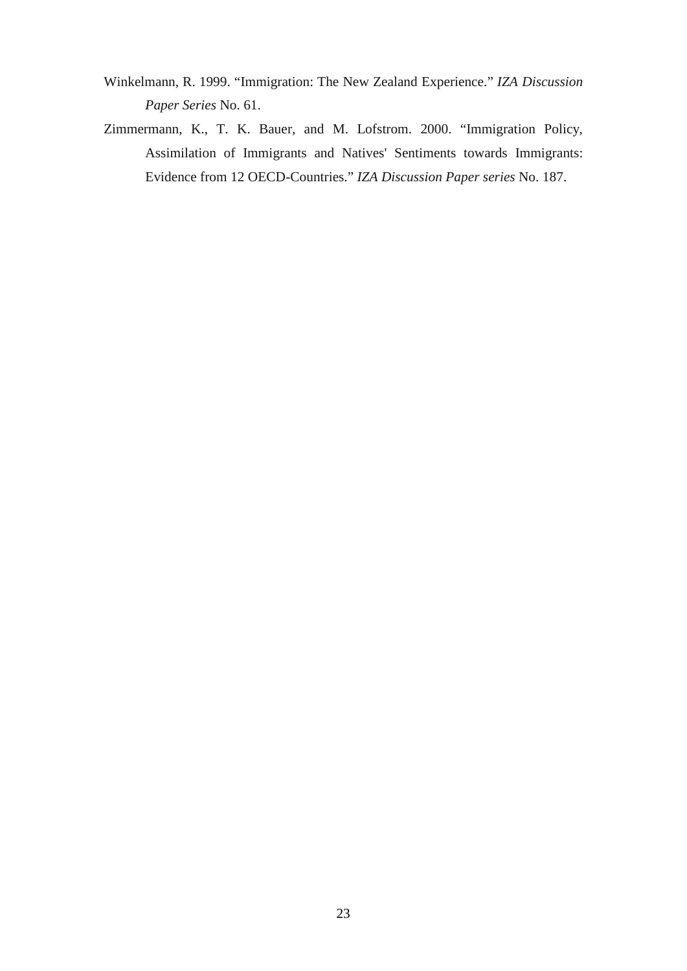- Winkelmann, R. 1999. "Immigration: The New Zealand Experience." *IZA Discussion Paper Series* No. 61.
- Zimmermann, K., T. K. Bauer, and M. Lofstrom. 2000. "Immigration Policy, Assimilation of Immigrants and Natives' Sentiments towards Immigrants: Evidence from 12 OECD-Countries." *IZA Discussion Paper series* No. 187.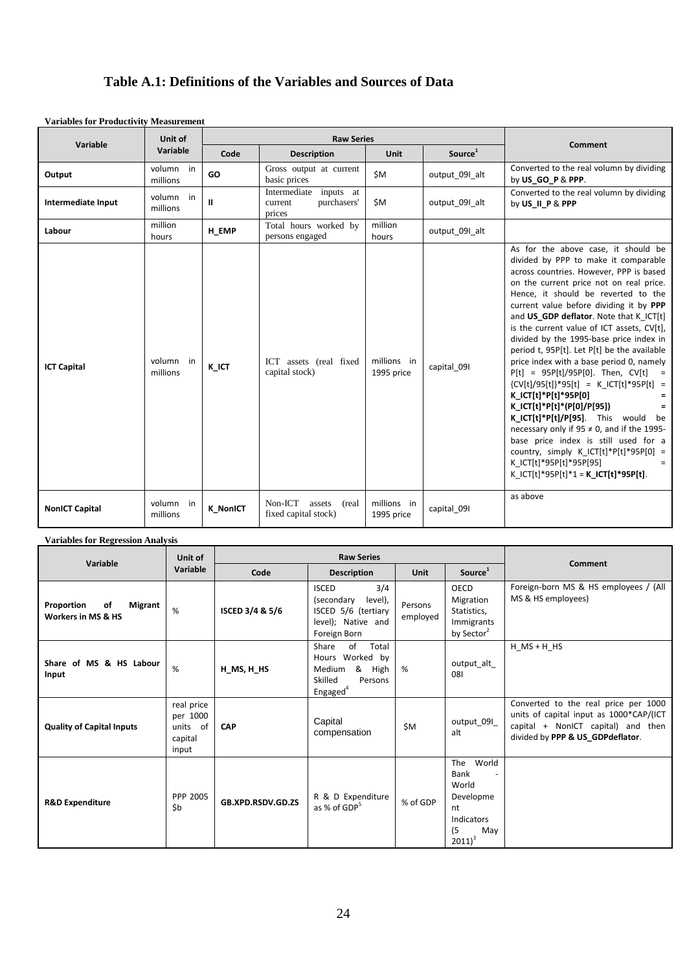### **Table A.1: Definitions of the Variables and Sources of Data**

| <b>Variables for Productivity Measurement</b> |                       |                 |                                                            |                           |                     |                                                                                                                                                                                                                                                                                                                                                                                                                                                                                                                                                                                                                                                                                                                                                                                                                                                                                                                              |  |  |
|-----------------------------------------------|-----------------------|-----------------|------------------------------------------------------------|---------------------------|---------------------|------------------------------------------------------------------------------------------------------------------------------------------------------------------------------------------------------------------------------------------------------------------------------------------------------------------------------------------------------------------------------------------------------------------------------------------------------------------------------------------------------------------------------------------------------------------------------------------------------------------------------------------------------------------------------------------------------------------------------------------------------------------------------------------------------------------------------------------------------------------------------------------------------------------------------|--|--|
|                                               | Unit of               |                 | <b>Raw Series</b>                                          |                           |                     |                                                                                                                                                                                                                                                                                                                                                                                                                                                                                                                                                                                                                                                                                                                                                                                                                                                                                                                              |  |  |
| Variable                                      | Variable              | Code            | <b>Description</b>                                         | <b>Unit</b>               | Source <sup>1</sup> | Comment                                                                                                                                                                                                                                                                                                                                                                                                                                                                                                                                                                                                                                                                                                                                                                                                                                                                                                                      |  |  |
| Output                                        | volumn in<br>millions | GO              | Gross output at current<br>basic prices                    | \$M                       | output 091 alt      | Converted to the real volumn by dividing<br>by US GO P & PPP.                                                                                                                                                                                                                                                                                                                                                                                                                                                                                                                                                                                                                                                                                                                                                                                                                                                                |  |  |
| Intermediate Input                            | volumn in<br>millions | $\mathbf{I}$    | Intermediate inputs at<br>purchasers'<br>current<br>prices | \$M                       | output 091 alt      | Converted to the real volumn by dividing<br>by US II P & PPP                                                                                                                                                                                                                                                                                                                                                                                                                                                                                                                                                                                                                                                                                                                                                                                                                                                                 |  |  |
| Labour                                        | million<br>hours      | H EMP           | Total hours worked by<br>persons engaged                   | million<br>hours          | output 091 alt      |                                                                                                                                                                                                                                                                                                                                                                                                                                                                                                                                                                                                                                                                                                                                                                                                                                                                                                                              |  |  |
| <b>ICT Capital</b>                            | volumn in<br>millions | K ICT           | ICT assets (real fixed<br>capital stock)                   | millions in<br>1995 price | capital 091         | As for the above case, it should be<br>divided by PPP to make it comparable<br>across countries. However, PPP is based<br>on the current price not on real price.<br>Hence, it should be reverted to the<br>current value before dividing it by PPP<br>and US GDP deflator. Note that K ICT[t]<br>is the current value of ICT assets, CV[t],<br>divided by the 1995-base price index in<br>period t, 95P[t]. Let P[t] be the available<br>price index with a base period 0, namely<br>$P[t] = 95P[t]/95P[0]$ . Then, CV[t]<br>$\mathbf{r}$<br>$\{CV[t]/95[t]\}$ *95 $[t] = K$ ICT $[t]$ *95P $[t] =$<br>K ICT[t]*P[t]*95P[0]<br>K $ CT[t]*P[t]*(P[0]/P[95])$<br>K ICT[t]*P[t]/P[95]. This would<br>be<br>necessary only if $95 \neq 0$ , and if the 1995-<br>base price index is still used for a<br>country, simply $K_CCT[t]*P[t]*95P[0] =$<br>K ICT[t]*95P[t]*95P[95]<br>$=$<br>K $ CT[t]*95P[t]*1 = K \,  CT[t]*95P[t].$ |  |  |
| <b>NonICT Capital</b>                         | volumn in<br>millions | <b>K NonICT</b> | Non-ICT<br>assets<br>(real)<br>fixed capital stock)        | millions in<br>1995 price | capital 091         | as above                                                                                                                                                                                                                                                                                                                                                                                                                                                                                                                                                                                                                                                                                                                                                                                                                                                                                                                     |  |  |

#### **Variables for Regression Analysis**

| Variable                                                            | Unit of                                                     |                                          | <b>Raw Series</b>                                                                                         |                     | Comment                                                                                            |                                                                                                                                                           |
|---------------------------------------------------------------------|-------------------------------------------------------------|------------------------------------------|-----------------------------------------------------------------------------------------------------------|---------------------|----------------------------------------------------------------------------------------------------|-----------------------------------------------------------------------------------------------------------------------------------------------------------|
|                                                                     | Variable                                                    | Code                                     | <b>Description</b>                                                                                        | Unit                | Source <sup>1</sup>                                                                                |                                                                                                                                                           |
| Proportion<br><b>Migrant</b><br>οf<br><b>Workers in MS &amp; HS</b> | %                                                           | ISCED 3/4 & 5/6                          | 3/4<br><b>ISCED</b><br>level),<br>(secondary<br>ISCED 5/6 (tertiary<br>level); Native and<br>Foreign Born | Persons<br>employed | OECD<br>Migration<br>Statistics,<br>Immigrants<br>by Sector <sup>2</sup>                           | Foreign-born MS & HS employees / (All<br>MS & HS employees)                                                                                               |
| Share of MS & HS Labour<br>Input                                    | %                                                           | $H$ <sub>_</sub> MS, $H$ <sub>_</sub> HS | Share<br>of<br>Total<br>Hours Worked by<br>& High<br>Medium<br>Skilled<br>Persons<br>Engaged <sup>4</sup> | %                   | output alt<br>081                                                                                  | $H$ MS + H HS                                                                                                                                             |
| <b>Quality of Capital Inputs</b>                                    | real price<br>per 1000<br>units<br>- of<br>capital<br>input | <b>CAP</b>                               | Capital<br>compensation                                                                                   | \$M                 | output_09I_<br>alt                                                                                 | Converted to the real price per 1000<br>units of capital input as 1000*CAP/(ICT<br>capital + NonICT capital) and then<br>divided by PPP & US GDPdeflator. |
| <b>R&amp;D Expenditure</b>                                          | PPP 2005<br>\$b                                             | GB.XPD.RSDV.GD.ZS                        | R & D Expenditure<br>as % of GDP <sup>5</sup>                                                             | % of GDP            | The<br>World<br><b>Bank</b><br>World<br>Developme<br>nt<br>Indicators<br>(5)<br>May<br>$2011)^{3}$ |                                                                                                                                                           |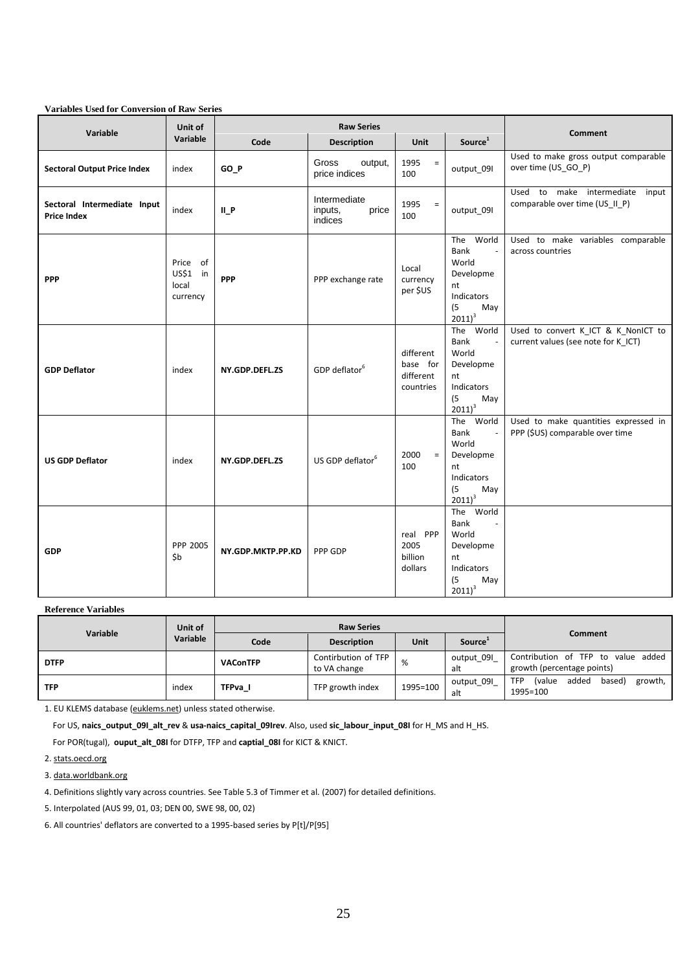| Variable                                          | Unit of                                   |                   | <b>Raw Series</b>                           |                                                 |                                                                                                     |                                                                            |
|---------------------------------------------------|-------------------------------------------|-------------------|---------------------------------------------|-------------------------------------------------|-----------------------------------------------------------------------------------------------------|----------------------------------------------------------------------------|
|                                                   | Variable                                  | Code              | <b>Description</b>                          | <b>Unit</b>                                     | Source <sup>1</sup>                                                                                 | <b>Comment</b>                                                             |
| <b>Sectoral Output Price Index</b>                | index                                     | GO_P              | Gross<br>output,<br>price indices           | 1995<br>$\equiv$<br>100                         | output 09I                                                                                          | Used to make gross output comparable<br>over time (US_GO_P)                |
| Sectoral Intermediate Input<br><b>Price Index</b> | index                                     | $II_P$            | Intermediate<br>price<br>inputs,<br>indices | 1995<br>$\equiv$<br>100                         | output_09I                                                                                          | Used to make intermediate<br>input<br>comparable over time (US_II_P)       |
| <b>PPP</b>                                        | Price of<br>US\$1 in<br>local<br>currency | <b>PPP</b>        | PPP exchange rate                           | Local<br>currency<br>per \$US                   | The World<br>Bank<br>$\sim$<br>World<br>Developme<br>nt<br>Indicators<br>(5)<br>May<br>$2011)^3$    | Used to make variables comparable<br>across countries                      |
| <b>GDP Deflator</b>                               | index                                     | NY.GDP.DEFL.ZS    | GDP deflator <sup>6</sup>                   | different<br>base for<br>different<br>countries | The World<br>Bank<br>$\sim$<br>World<br>Developme<br>nt<br>Indicators<br>(5)<br>May<br>$2011)^3$    | Used to convert K_ICT & K_NonICT to<br>current values (see note for K ICT) |
| <b>US GDP Deflator</b>                            | index                                     | NY.GDP.DEFL.ZS    | US GDP deflator <sup>6</sup>                | 2000<br>$\equiv$<br>100                         | The<br>World<br>Bank<br>World<br>Developme<br>nt<br>Indicators<br>(5)<br>May<br>$2011)^3$           | Used to make quantities expressed in<br>PPP (\$US) comparable over time    |
| <b>GDP</b>                                        | PPP 2005<br>\$b                           | NY.GDP.MKTP.PP.KD | PPP GDP                                     | real PPP<br>2005<br>billion<br>dollars          | World<br>The<br>Bank<br>$\sim$<br>World<br>Developme<br>nt<br>Indicators<br>(5)<br>May<br>$2011)^3$ |                                                                            |

**Variables Used for Conversion of Raw Series**

**Reference Variables**

| Variable    | Unit of  | <b>Raw Series</b> |                                     |          |                     | Comment                                                               |  |
|-------------|----------|-------------------|-------------------------------------|----------|---------------------|-----------------------------------------------------------------------|--|
|             | Variable | Code              | <b>Description</b>                  | Unit     | Source <sup>1</sup> |                                                                       |  |
| <b>DTFP</b> |          | <b>VAConTFP</b>   | Contirbution of TFP<br>to VA change | %        | output_09I<br>alt   | Contribution of TFP to value added<br>growth (percentage points)      |  |
| <b>TFP</b>  | index    | TFPva I           | TFP growth index                    | 1995=100 | output 09I<br>alt   | added<br><i>(value</i><br>based)<br>growth,<br><b>TFP</b><br>1995=100 |  |

1. EU KLEMS database (euklems.net) unless stated otherwise.

For US, **naics\_output\_09I\_alt\_rev** & **usa-naics\_capital\_09Irev**. Also, used **sic\_labour\_input\_08I** for H\_MS and H\_HS.

For POR(tugal), **ouput\_alt\_08I** for DTFP, TFP and **captial\_08I** for KICT & KNICT.

2. stats.oecd.org

3. data.worldbank.org

4. Definitions slightly vary across countries. See Table 5.3 of Timmer et al. (2007) for detailed definitions.

5. Interpolated (AUS 99, 01, 03; DEN 00, SWE 98, 00, 02)

6. All countries' deflators are converted to a 1995-based series by P[t]/P[95]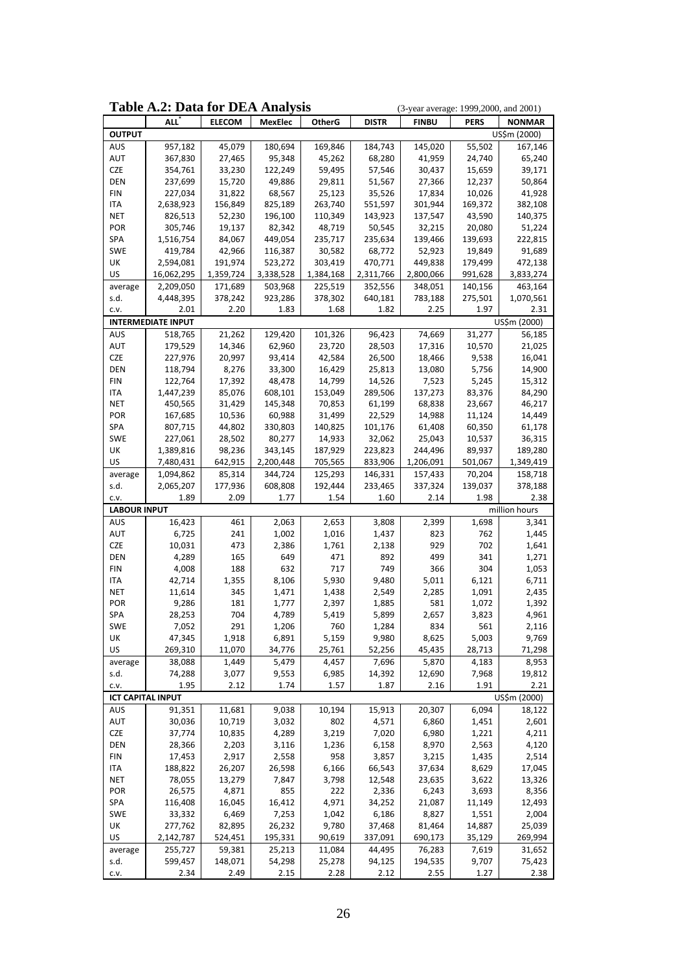|                          | <b>Table A.2: Data for DEA Analysis</b><br>(3-year average: 1999, 2000, and 2001) |                   |                    |                   |                   |                   |                   |                   |
|--------------------------|-----------------------------------------------------------------------------------|-------------------|--------------------|-------------------|-------------------|-------------------|-------------------|-------------------|
|                          | ALL'                                                                              | <b>ELECOM</b>     | <b>MexElec</b>     | <b>OtherG</b>     | <b>DISTR</b>      | <b>FINBU</b>      | <b>PERS</b>       | <b>NONMAR</b>     |
| <b>OUTPUT</b>            |                                                                                   |                   |                    |                   |                   |                   |                   | US\$m (2000)      |
| AUS                      | 957,182                                                                           | 45,079            | 180,694            | 169,846           | 184,743           | 145,020           | 55,502            | 167,146           |
| AUT                      | 367,830                                                                           | 27,465            | 95,348             | 45,262            | 68,280            | 41,959            | 24,740            | 65,240            |
| <b>CZE</b>               | 354,761                                                                           | 33,230            | 122,249            | 59,495            | 57,546            | 30,437            | 15,659            | 39,171            |
| <b>DEN</b>               | 237,699                                                                           | 15,720            | 49,886             | 29,811            | 51,567            | 27,366            | 12,237            | 50,864            |
| <b>FIN</b>               | 227,034                                                                           | 31,822            | 68,567             | 25,123            | 35,526            | 17,834            | 10,026            | 41,928            |
| ITA                      | 2,638,923                                                                         | 156,849           | 825,189            | 263,740           | 551,597           | 301,944           | 169,372           | 382,108           |
| <b>NET</b>               | 826,513                                                                           | 52,230            | 196,100            | 110,349           | 143,923           | 137,547           | 43,590            | 140,375           |
| POR                      | 305,746                                                                           | 19,137            | 82,342             | 48,719            | 50,545            | 32,215            | 20,080            | 51,224            |
| SPA<br><b>SWE</b>        | 1,516,754<br>419,784                                                              | 84,067            | 449,054            | 235,717           | 235,634           | 139,466           | 139,693           | 222,815           |
| UK                       | 2,594,081                                                                         | 42,966<br>191,974 | 116,387<br>523,272 | 30,582<br>303,419 | 68,772<br>470,771 | 52,923<br>449,838 | 19,849<br>179,499 | 91,689<br>472,138 |
| US                       | 16,062,295                                                                        | 1,359,724         | 3,338,528          | 1,384,168         | 2,311,766         | 2,800,066         | 991,628           | 3,833,274         |
| average                  | 2,209,050                                                                         | 171,689           | 503,968            | 225,519           | 352,556           | 348,051           | 140,156           | 463,164           |
| s.d.                     | 4,448,395                                                                         | 378,242           | 923,286            | 378,302           | 640,181           | 783,188           | 275,501           | 1,070,561         |
| C.V.                     | 2.01                                                                              | 2.20              | 1.83               | 1.68              | 1.82              | 2.25              | 1.97              | 2.31              |
|                          | <b>INTERMEDIATE INPUT</b>                                                         |                   |                    |                   |                   |                   |                   | US\$m (2000)      |
| AUS                      | 518,765                                                                           | 21,262            | 129,420            | 101,326           | 96,423            | 74,669            | 31,277            | 56,185            |
| AUT                      | 179,529                                                                           | 14,346            | 62,960             | 23,720            | 28,503            | 17,316            | 10,570            | 21,025            |
| <b>CZE</b>               | 227,976                                                                           | 20,997            | 93,414             | 42,584            | 26,500            | 18,466            | 9,538             | 16,041            |
| <b>DEN</b>               | 118,794                                                                           | 8,276             | 33,300             | 16,429            | 25,813            | 13,080            | 5,756             | 14,900            |
| <b>FIN</b>               | 122,764                                                                           | 17,392            | 48,478             | 14,799            | 14,526            | 7,523             | 5,245             | 15,312            |
| ITA                      | 1,447,239                                                                         | 85,076            | 608,101            | 153,049           | 289,506           | 137,273           | 83,376            | 84,290            |
| <b>NET</b>               | 450,565                                                                           | 31,429            | 145,348            | 70,853            | 61,199            | 68,838            | 23,667            | 46,217            |
| POR                      | 167,685                                                                           | 10,536            | 60,988             | 31,499            | 22,529            | 14,988            | 11,124            | 14,449            |
| SPA                      | 807,715                                                                           | 44,802            | 330,803            | 140,825           | 101,176           | 61,408            | 60,350            | 61,178            |
| SWE                      | 227,061                                                                           | 28,502            | 80,277             | 14,933            | 32,062            | 25,043            | 10,537            | 36,315            |
| UK                       | 1,389,816                                                                         | 98,236            | 343,145            | 187,929           | 223,823           | 244,496           | 89,937            | 189,280           |
| US                       | 7,480,431                                                                         | 642,915           | 2,200,448          | 705,565           | 833,906           | 1,206,091         | 501,067           | 1,349,419         |
| average                  | 1,094,862                                                                         | 85,314            | 344,724            | 125,293           | 146,331           | 157,433           | 70,204            | 158,718           |
| s.d.                     | 2,065,207                                                                         | 177,936           | 608,808            | 192,444           | 233,465           | 337,324           | 139,037           | 378,188           |
| c.v.                     | 1.89                                                                              | 2.09              | 1.77               | 1.54              | 1.60              | 2.14              | 1.98              | 2.38              |
| <b>LABOUR INPUT</b>      |                                                                                   |                   |                    |                   |                   |                   |                   | million hours     |
| AUS                      | 16,423                                                                            | 461               | 2,063              | 2,653             | 3,808             | 2,399             | 1,698             | 3,341             |
| AUT                      | 6,725                                                                             | 241               | 1,002              | 1,016             | 1,437             | 823               | 762               | 1,445             |
| <b>CZE</b>               | 10,031                                                                            | 473               | 2,386              | 1,761             | 2,138             | 929               | 702               | 1,641             |
| DEN                      | 4,289                                                                             | 165               | 649                | 471               | 892               | 499               | 341               | 1,271             |
| FIN                      | 4,008                                                                             | 188               | 632                | 717               | 749               | 366               | 304               | 1,053             |
| ITA                      | 42,714                                                                            | 1,355             | 8,106              | 5,930             | 9,480             | 5,011             | 6,121             | 6,711             |
| <b>NET</b>               | 11,614                                                                            | 345               | 1,471              | 1,438             | 2,549             | 2,285             | 1,091             | 2,435             |
| POR                      | 9,286                                                                             | 181               | 1,777              | 2,397             | 1,885             | 581               | 1,072             | 1,392             |
| SPA                      | 28,253                                                                            | 704               | 4,789              | 5,419             | 5,899             | 2,657             | 3,823             | 4,961             |
| SWE<br>UK                | 7,052<br>47,345                                                                   | 291<br>1,918      | 1,206<br>6,891     | 760<br>5,159      | 1,284             | 834<br>8,625      | 561<br>5,003      | 2,116<br>9,769    |
| US                       | 269,310                                                                           | 11,070            | 34,776             | 25,761            | 9,980<br>52,256   | 45,435            | 28,713            | 71,298            |
| average                  | 38,088                                                                            | 1,449             | 5,479              | 4,457             | 7,696             | 5,870             | 4,183             | 8,953             |
| s.d.                     | 74,288                                                                            | 3,077             | 9,553              | 6,985             | 14,392            | 12,690            | 7,968             | 19,812            |
| C.V.                     | 1.95                                                                              | 2.12              | 1.74               | 1.57              | 1.87              | 2.16              | 1.91              | 2.21              |
| <b>ICT CAPITAL INPUT</b> |                                                                                   |                   |                    |                   |                   |                   |                   | US\$m (2000)      |
| AUS                      | 91,351                                                                            | 11,681            | 9,038              | 10,194            | 15,913            | 20,307            | 6,094             | 18,122            |
| AUT                      | 30,036                                                                            | 10,719            | 3,032              | 802               | 4,571             | 6,860             | 1,451             | 2,601             |
| CZE                      | 37,774                                                                            | 10,835            | 4,289              | 3,219             | 7,020             | 6,980             | 1,221             | 4,211             |
| DEN                      | 28,366                                                                            | 2,203             | 3,116              | 1,236             | 6,158             | 8,970             | 2,563             | 4,120             |
| <b>FIN</b>               | 17,453                                                                            | 2,917             | 2,558              | 958               | 3,857             | 3,215             | 1,435             | 2,514             |
| <b>ITA</b>               | 188,822                                                                           | 26,207            | 26,598             | 6,166             | 66,543            | 37,634            | 8,629             | 17,045            |
| <b>NET</b>               | 78,055                                                                            | 13,279            | 7,847              | 3,798             | 12,548            | 23,635            | 3,622             | 13,326            |
| POR                      | 26,575                                                                            | 4,871             | 855                | 222               | 2,336             | 6,243             | 3,693             | 8,356             |
| SPA                      | 116,408                                                                           | 16,045            | 16,412             | 4,971             | 34,252            | 21,087            | 11,149            | 12,493            |
| SWE                      | 33,332                                                                            | 6,469             | 7,253              | 1,042             | 6,186             | 8,827             | 1,551             | 2,004             |
| UK                       | 277,762                                                                           | 82,895            | 26,232             | 9,780             | 37,468            | 81,464            | 14,887            | 25,039            |
| US                       | 2,142,787                                                                         | 524,451           | 195,331            | 90,619            | 337,091           | 690,173           | 35,129            | 269,994           |
| average                  | 255,727                                                                           | 59,381            | 25,213             | 11,084            | 44,495            | 76,283            | 7,619             | 31,652            |
| s.d.                     | 599,457                                                                           | 148,071           | 54,298             | 25,278            | 94,125            | 194,535           | 9,707             | 75,423            |
| C.V.                     | 2.34                                                                              | 2.49              | 2.15               | 2.28              | 2.12              | 2.55              | 1.27              | 2.38              |